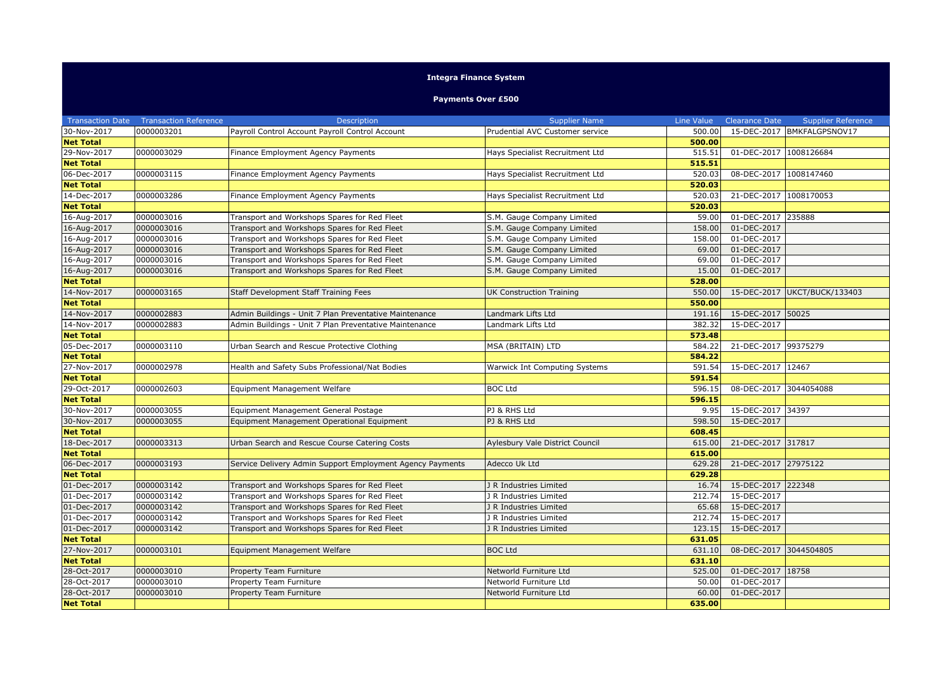## **Integra Finance System**

## **Payments Over £500**

| Payroll Control Account Payroll Control Account<br>30-Nov-2017<br>0000003201<br>500.00<br>15-DEC-2017 BMKFALGPSNOV17<br>Prudential AVC Customer service<br><b>Net Total</b><br>500.00<br>29-Nov-2017<br>0000003029<br>515.51<br>01-DEC-2017 1008126684<br>Finance Employment Agency Payments<br>Hays Specialist Recruitment Ltd<br>515.51<br><b>Net Total</b><br>0000003115<br>08-DEC-2017<br>1008147460<br>06-Dec-2017<br>Finance Employment Agency Payments<br>Hays Specialist Recruitment Ltd<br>520.03<br><b>Net Total</b><br>520.03<br>520.03<br>14-Dec-2017<br>0000003286<br>21-DEC-2017<br>1008170053<br>Finance Employment Agency Payments<br>Hays Specialist Recruitment Ltd<br><b>Net Total</b><br>520.03<br>0000003016<br>01-DEC-2017 235888<br>16-Aug-2017<br>S.M. Gauge Company Limited<br>59.00<br>Transport and Workshops Spares for Red Fleet<br>0000003016<br>01-DEC-2017<br>16-Aug-2017<br>Transport and Workshops Spares for Red Fleet<br>S.M. Gauge Company Limited<br>158.00<br>0000003016<br>16-Aug-2017<br>Transport and Workshops Spares for Red Fleet<br>S.M. Gauge Company Limited<br>01-DEC-2017<br>158.00<br>0000003016<br>16-Aug-2017<br>S.M. Gauge Company Limited<br>01-DEC-2017<br>Transport and Workshops Spares for Red Fleet<br>69.00<br>16-Aug-2017<br>0000003016<br>Transport and Workshops Spares for Red Fleet<br>S.M. Gauge Company Limited<br>69.00<br>01-DEC-2017<br>01-DEC-2017<br>16-Aug-2017<br>0000003016<br>S.M. Gauge Company Limited<br>15.00<br>Transport and Workshops Spares for Red Fleet<br>528.00<br><b>Net Total</b><br>14-Nov-2017<br>0000003165<br>15-DEC-2017<br><b>UKCT/BUCK/133403</b><br>Staff Development Staff Training Fees<br><b>UK Construction Training</b><br>550.00<br><b>Net Total</b><br>550.00<br>14-Nov-2017<br>0000002883<br>Admin Buildings - Unit 7 Plan Preventative Maintenance<br>191.16<br>15-DEC-2017<br>50025<br>Landmark Lifts Ltd<br>14-Nov-2017<br>0000002883<br>382.32<br>15-DEC-2017<br>Admin Buildings - Unit 7 Plan Preventative Maintenance<br>Landmark Lifts Ltd<br>573.48<br><b>Net Total</b><br>21-DEC-2017 99375279<br>05-Dec-2017<br>0000003110<br>Urban Search and Rescue Protective Clothing<br><b>MSA (BRITAIN) LTD</b><br>584.22<br><b>Net Total</b><br>584.22<br>15-DEC-2017 12467<br>27-Nov-2017<br>0000002978<br>Health and Safety Subs Professional/Nat Bodies<br>591.54<br>Warwick Int Computing Systems<br><b>Net Total</b><br>591.54<br>29-Oct-2017<br>0000002603<br>Equipment Management Welfare<br><b>BOC Ltd</b><br>596.15<br>08-DEC-2017<br>3044054088<br>596.15<br><b>Net Total</b><br>30-Nov-2017<br>0000003055<br>PJ & RHS Ltd<br>9.95<br>15-DEC-2017 34397<br>Equipment Management General Postage<br>30-Nov-2017<br>0000003055<br>PJ & RHS Ltd<br>15-DEC-2017<br>Equipment Management Operational Equipment<br>598.50<br><b>Net Total</b><br>608.45<br>18-Dec-2017<br>0000003313<br>Urban Search and Rescue Course Catering Costs<br>615.00<br>21-DEC-2017 317817<br>Aylesbury Vale District Council<br><b>Net Total</b><br>615.00<br>21-DEC-2017 27975122<br>06-Dec-2017<br>0000003193<br>Adecco Uk Ltd<br>Service Delivery Admin Support Employment Agency Payments<br>629.28<br><b>Net Total</b><br>629.28<br>0000003142<br>15-DEC-2017 222348<br>01-Dec-2017<br>16.74<br>Transport and Workshops Spares for Red Fleet<br>J R Industries Limited<br>0000003142<br>01-Dec-2017<br>212.74<br>15-DEC-2017<br>Transport and Workshops Spares for Red Fleet<br>J R Industries Limited<br>01-Dec-2017<br>0000003142<br>Transport and Workshops Spares for Red Fleet<br>65.68<br>15-DEC-2017<br>J R Industries Limited<br>01-Dec-2017<br>0000003142<br>Transport and Workshops Spares for Red Fleet<br>212.74<br>15-DEC-2017<br>J R Industries Limited<br>01-Dec-2017<br>0000003142<br>123.15<br>15-DEC-2017<br>Transport and Workshops Spares for Red Fleet<br>J R Industries Limited<br><b>Net Total</b><br>631.05<br>27-Nov-2017<br>0000003101<br><b>BOC Ltd</b><br>08-DEC-2017<br>3044504805<br>Equipment Management Welfare<br>631.10<br><b>Net Total</b><br>631.10<br>525.00<br>28-Oct-2017<br>0000003010<br>Property Team Furniture<br>01-DEC-2017 18758<br>Networld Furniture Ltd<br>28-Oct-2017<br>0000003010<br>01-DEC-2017<br>Property Team Furniture<br>Networld Furniture Ltd<br>50.00<br>28-Oct-2017<br>0000003010<br>Property Team Furniture<br>Networld Furniture Ltd<br>60.00<br>01-DEC-2017<br>635.00<br><b>Net Total</b> | <b>Transaction Date</b> | <b>Transaction Reference</b> | Description | <b>Supplier Name</b> | Line Value | <b>Clearance Date</b> | <b>Supplier Reference</b> |
|-------------------------------------------------------------------------------------------------------------------------------------------------------------------------------------------------------------------------------------------------------------------------------------------------------------------------------------------------------------------------------------------------------------------------------------------------------------------------------------------------------------------------------------------------------------------------------------------------------------------------------------------------------------------------------------------------------------------------------------------------------------------------------------------------------------------------------------------------------------------------------------------------------------------------------------------------------------------------------------------------------------------------------------------------------------------------------------------------------------------------------------------------------------------------------------------------------------------------------------------------------------------------------------------------------------------------------------------------------------------------------------------------------------------------------------------------------------------------------------------------------------------------------------------------------------------------------------------------------------------------------------------------------------------------------------------------------------------------------------------------------------------------------------------------------------------------------------------------------------------------------------------------------------------------------------------------------------------------------------------------------------------------------------------------------------------------------------------------------------------------------------------------------------------------------------------------------------------------------------------------------------------------------------------------------------------------------------------------------------------------------------------------------------------------------------------------------------------------------------------------------------------------------------------------------------------------------------------------------------------------------------------------------------------------------------------------------------------------------------------------------------------------------------------------------------------------------------------------------------------------------------------------------------------------------------------------------------------------------------------------------------------------------------------------------------------------------------------------------------------------------------------------------------------------------------------------------------------------------------------------------------------------------------------------------------------------------------------------------------------------------------------------------------------------------------------------------------------------------------------------------------------------------------------------------------------------------------------------------------------------------------------------------------------------------------------------------------------------------------------------------------------------------------------------------------------------------------------------------------------------------------------------------------------------------------------------------------------------------------------------------------------------------------------------------------------------------------------------------------------------------------------------------------------------------------------------------------------------------------------------------------------------------------------------------------------------------------------------------------------------------------------------------------------------------------------------------------|-------------------------|------------------------------|-------------|----------------------|------------|-----------------------|---------------------------|
|                                                                                                                                                                                                                                                                                                                                                                                                                                                                                                                                                                                                                                                                                                                                                                                                                                                                                                                                                                                                                                                                                                                                                                                                                                                                                                                                                                                                                                                                                                                                                                                                                                                                                                                                                                                                                                                                                                                                                                                                                                                                                                                                                                                                                                                                                                                                                                                                                                                                                                                                                                                                                                                                                                                                                                                                                                                                                                                                                                                                                                                                                                                                                                                                                                                                                                                                                                                                                                                                                                                                                                                                                                                                                                                                                                                                                                                                                                                                                                                                                                                                                                                                                                                                                                                                                                                                                                                                                                                             |                         |                              |             |                      |            |                       |                           |
|                                                                                                                                                                                                                                                                                                                                                                                                                                                                                                                                                                                                                                                                                                                                                                                                                                                                                                                                                                                                                                                                                                                                                                                                                                                                                                                                                                                                                                                                                                                                                                                                                                                                                                                                                                                                                                                                                                                                                                                                                                                                                                                                                                                                                                                                                                                                                                                                                                                                                                                                                                                                                                                                                                                                                                                                                                                                                                                                                                                                                                                                                                                                                                                                                                                                                                                                                                                                                                                                                                                                                                                                                                                                                                                                                                                                                                                                                                                                                                                                                                                                                                                                                                                                                                                                                                                                                                                                                                                             |                         |                              |             |                      |            |                       |                           |
|                                                                                                                                                                                                                                                                                                                                                                                                                                                                                                                                                                                                                                                                                                                                                                                                                                                                                                                                                                                                                                                                                                                                                                                                                                                                                                                                                                                                                                                                                                                                                                                                                                                                                                                                                                                                                                                                                                                                                                                                                                                                                                                                                                                                                                                                                                                                                                                                                                                                                                                                                                                                                                                                                                                                                                                                                                                                                                                                                                                                                                                                                                                                                                                                                                                                                                                                                                                                                                                                                                                                                                                                                                                                                                                                                                                                                                                                                                                                                                                                                                                                                                                                                                                                                                                                                                                                                                                                                                                             |                         |                              |             |                      |            |                       |                           |
|                                                                                                                                                                                                                                                                                                                                                                                                                                                                                                                                                                                                                                                                                                                                                                                                                                                                                                                                                                                                                                                                                                                                                                                                                                                                                                                                                                                                                                                                                                                                                                                                                                                                                                                                                                                                                                                                                                                                                                                                                                                                                                                                                                                                                                                                                                                                                                                                                                                                                                                                                                                                                                                                                                                                                                                                                                                                                                                                                                                                                                                                                                                                                                                                                                                                                                                                                                                                                                                                                                                                                                                                                                                                                                                                                                                                                                                                                                                                                                                                                                                                                                                                                                                                                                                                                                                                                                                                                                                             |                         |                              |             |                      |            |                       |                           |
|                                                                                                                                                                                                                                                                                                                                                                                                                                                                                                                                                                                                                                                                                                                                                                                                                                                                                                                                                                                                                                                                                                                                                                                                                                                                                                                                                                                                                                                                                                                                                                                                                                                                                                                                                                                                                                                                                                                                                                                                                                                                                                                                                                                                                                                                                                                                                                                                                                                                                                                                                                                                                                                                                                                                                                                                                                                                                                                                                                                                                                                                                                                                                                                                                                                                                                                                                                                                                                                                                                                                                                                                                                                                                                                                                                                                                                                                                                                                                                                                                                                                                                                                                                                                                                                                                                                                                                                                                                                             |                         |                              |             |                      |            |                       |                           |
|                                                                                                                                                                                                                                                                                                                                                                                                                                                                                                                                                                                                                                                                                                                                                                                                                                                                                                                                                                                                                                                                                                                                                                                                                                                                                                                                                                                                                                                                                                                                                                                                                                                                                                                                                                                                                                                                                                                                                                                                                                                                                                                                                                                                                                                                                                                                                                                                                                                                                                                                                                                                                                                                                                                                                                                                                                                                                                                                                                                                                                                                                                                                                                                                                                                                                                                                                                                                                                                                                                                                                                                                                                                                                                                                                                                                                                                                                                                                                                                                                                                                                                                                                                                                                                                                                                                                                                                                                                                             |                         |                              |             |                      |            |                       |                           |
|                                                                                                                                                                                                                                                                                                                                                                                                                                                                                                                                                                                                                                                                                                                                                                                                                                                                                                                                                                                                                                                                                                                                                                                                                                                                                                                                                                                                                                                                                                                                                                                                                                                                                                                                                                                                                                                                                                                                                                                                                                                                                                                                                                                                                                                                                                                                                                                                                                                                                                                                                                                                                                                                                                                                                                                                                                                                                                                                                                                                                                                                                                                                                                                                                                                                                                                                                                                                                                                                                                                                                                                                                                                                                                                                                                                                                                                                                                                                                                                                                                                                                                                                                                                                                                                                                                                                                                                                                                                             |                         |                              |             |                      |            |                       |                           |
|                                                                                                                                                                                                                                                                                                                                                                                                                                                                                                                                                                                                                                                                                                                                                                                                                                                                                                                                                                                                                                                                                                                                                                                                                                                                                                                                                                                                                                                                                                                                                                                                                                                                                                                                                                                                                                                                                                                                                                                                                                                                                                                                                                                                                                                                                                                                                                                                                                                                                                                                                                                                                                                                                                                                                                                                                                                                                                                                                                                                                                                                                                                                                                                                                                                                                                                                                                                                                                                                                                                                                                                                                                                                                                                                                                                                                                                                                                                                                                                                                                                                                                                                                                                                                                                                                                                                                                                                                                                             |                         |                              |             |                      |            |                       |                           |
|                                                                                                                                                                                                                                                                                                                                                                                                                                                                                                                                                                                                                                                                                                                                                                                                                                                                                                                                                                                                                                                                                                                                                                                                                                                                                                                                                                                                                                                                                                                                                                                                                                                                                                                                                                                                                                                                                                                                                                                                                                                                                                                                                                                                                                                                                                                                                                                                                                                                                                                                                                                                                                                                                                                                                                                                                                                                                                                                                                                                                                                                                                                                                                                                                                                                                                                                                                                                                                                                                                                                                                                                                                                                                                                                                                                                                                                                                                                                                                                                                                                                                                                                                                                                                                                                                                                                                                                                                                                             |                         |                              |             |                      |            |                       |                           |
|                                                                                                                                                                                                                                                                                                                                                                                                                                                                                                                                                                                                                                                                                                                                                                                                                                                                                                                                                                                                                                                                                                                                                                                                                                                                                                                                                                                                                                                                                                                                                                                                                                                                                                                                                                                                                                                                                                                                                                                                                                                                                                                                                                                                                                                                                                                                                                                                                                                                                                                                                                                                                                                                                                                                                                                                                                                                                                                                                                                                                                                                                                                                                                                                                                                                                                                                                                                                                                                                                                                                                                                                                                                                                                                                                                                                                                                                                                                                                                                                                                                                                                                                                                                                                                                                                                                                                                                                                                                             |                         |                              |             |                      |            |                       |                           |
|                                                                                                                                                                                                                                                                                                                                                                                                                                                                                                                                                                                                                                                                                                                                                                                                                                                                                                                                                                                                                                                                                                                                                                                                                                                                                                                                                                                                                                                                                                                                                                                                                                                                                                                                                                                                                                                                                                                                                                                                                                                                                                                                                                                                                                                                                                                                                                                                                                                                                                                                                                                                                                                                                                                                                                                                                                                                                                                                                                                                                                                                                                                                                                                                                                                                                                                                                                                                                                                                                                                                                                                                                                                                                                                                                                                                                                                                                                                                                                                                                                                                                                                                                                                                                                                                                                                                                                                                                                                             |                         |                              |             |                      |            |                       |                           |
|                                                                                                                                                                                                                                                                                                                                                                                                                                                                                                                                                                                                                                                                                                                                                                                                                                                                                                                                                                                                                                                                                                                                                                                                                                                                                                                                                                                                                                                                                                                                                                                                                                                                                                                                                                                                                                                                                                                                                                                                                                                                                                                                                                                                                                                                                                                                                                                                                                                                                                                                                                                                                                                                                                                                                                                                                                                                                                                                                                                                                                                                                                                                                                                                                                                                                                                                                                                                                                                                                                                                                                                                                                                                                                                                                                                                                                                                                                                                                                                                                                                                                                                                                                                                                                                                                                                                                                                                                                                             |                         |                              |             |                      |            |                       |                           |
|                                                                                                                                                                                                                                                                                                                                                                                                                                                                                                                                                                                                                                                                                                                                                                                                                                                                                                                                                                                                                                                                                                                                                                                                                                                                                                                                                                                                                                                                                                                                                                                                                                                                                                                                                                                                                                                                                                                                                                                                                                                                                                                                                                                                                                                                                                                                                                                                                                                                                                                                                                                                                                                                                                                                                                                                                                                                                                                                                                                                                                                                                                                                                                                                                                                                                                                                                                                                                                                                                                                                                                                                                                                                                                                                                                                                                                                                                                                                                                                                                                                                                                                                                                                                                                                                                                                                                                                                                                                             |                         |                              |             |                      |            |                       |                           |
|                                                                                                                                                                                                                                                                                                                                                                                                                                                                                                                                                                                                                                                                                                                                                                                                                                                                                                                                                                                                                                                                                                                                                                                                                                                                                                                                                                                                                                                                                                                                                                                                                                                                                                                                                                                                                                                                                                                                                                                                                                                                                                                                                                                                                                                                                                                                                                                                                                                                                                                                                                                                                                                                                                                                                                                                                                                                                                                                                                                                                                                                                                                                                                                                                                                                                                                                                                                                                                                                                                                                                                                                                                                                                                                                                                                                                                                                                                                                                                                                                                                                                                                                                                                                                                                                                                                                                                                                                                                             |                         |                              |             |                      |            |                       |                           |
|                                                                                                                                                                                                                                                                                                                                                                                                                                                                                                                                                                                                                                                                                                                                                                                                                                                                                                                                                                                                                                                                                                                                                                                                                                                                                                                                                                                                                                                                                                                                                                                                                                                                                                                                                                                                                                                                                                                                                                                                                                                                                                                                                                                                                                                                                                                                                                                                                                                                                                                                                                                                                                                                                                                                                                                                                                                                                                                                                                                                                                                                                                                                                                                                                                                                                                                                                                                                                                                                                                                                                                                                                                                                                                                                                                                                                                                                                                                                                                                                                                                                                                                                                                                                                                                                                                                                                                                                                                                             |                         |                              |             |                      |            |                       |                           |
|                                                                                                                                                                                                                                                                                                                                                                                                                                                                                                                                                                                                                                                                                                                                                                                                                                                                                                                                                                                                                                                                                                                                                                                                                                                                                                                                                                                                                                                                                                                                                                                                                                                                                                                                                                                                                                                                                                                                                                                                                                                                                                                                                                                                                                                                                                                                                                                                                                                                                                                                                                                                                                                                                                                                                                                                                                                                                                                                                                                                                                                                                                                                                                                                                                                                                                                                                                                                                                                                                                                                                                                                                                                                                                                                                                                                                                                                                                                                                                                                                                                                                                                                                                                                                                                                                                                                                                                                                                                             |                         |                              |             |                      |            |                       |                           |
|                                                                                                                                                                                                                                                                                                                                                                                                                                                                                                                                                                                                                                                                                                                                                                                                                                                                                                                                                                                                                                                                                                                                                                                                                                                                                                                                                                                                                                                                                                                                                                                                                                                                                                                                                                                                                                                                                                                                                                                                                                                                                                                                                                                                                                                                                                                                                                                                                                                                                                                                                                                                                                                                                                                                                                                                                                                                                                                                                                                                                                                                                                                                                                                                                                                                                                                                                                                                                                                                                                                                                                                                                                                                                                                                                                                                                                                                                                                                                                                                                                                                                                                                                                                                                                                                                                                                                                                                                                                             |                         |                              |             |                      |            |                       |                           |
|                                                                                                                                                                                                                                                                                                                                                                                                                                                                                                                                                                                                                                                                                                                                                                                                                                                                                                                                                                                                                                                                                                                                                                                                                                                                                                                                                                                                                                                                                                                                                                                                                                                                                                                                                                                                                                                                                                                                                                                                                                                                                                                                                                                                                                                                                                                                                                                                                                                                                                                                                                                                                                                                                                                                                                                                                                                                                                                                                                                                                                                                                                                                                                                                                                                                                                                                                                                                                                                                                                                                                                                                                                                                                                                                                                                                                                                                                                                                                                                                                                                                                                                                                                                                                                                                                                                                                                                                                                                             |                         |                              |             |                      |            |                       |                           |
|                                                                                                                                                                                                                                                                                                                                                                                                                                                                                                                                                                                                                                                                                                                                                                                                                                                                                                                                                                                                                                                                                                                                                                                                                                                                                                                                                                                                                                                                                                                                                                                                                                                                                                                                                                                                                                                                                                                                                                                                                                                                                                                                                                                                                                                                                                                                                                                                                                                                                                                                                                                                                                                                                                                                                                                                                                                                                                                                                                                                                                                                                                                                                                                                                                                                                                                                                                                                                                                                                                                                                                                                                                                                                                                                                                                                                                                                                                                                                                                                                                                                                                                                                                                                                                                                                                                                                                                                                                                             |                         |                              |             |                      |            |                       |                           |
|                                                                                                                                                                                                                                                                                                                                                                                                                                                                                                                                                                                                                                                                                                                                                                                                                                                                                                                                                                                                                                                                                                                                                                                                                                                                                                                                                                                                                                                                                                                                                                                                                                                                                                                                                                                                                                                                                                                                                                                                                                                                                                                                                                                                                                                                                                                                                                                                                                                                                                                                                                                                                                                                                                                                                                                                                                                                                                                                                                                                                                                                                                                                                                                                                                                                                                                                                                                                                                                                                                                                                                                                                                                                                                                                                                                                                                                                                                                                                                                                                                                                                                                                                                                                                                                                                                                                                                                                                                                             |                         |                              |             |                      |            |                       |                           |
|                                                                                                                                                                                                                                                                                                                                                                                                                                                                                                                                                                                                                                                                                                                                                                                                                                                                                                                                                                                                                                                                                                                                                                                                                                                                                                                                                                                                                                                                                                                                                                                                                                                                                                                                                                                                                                                                                                                                                                                                                                                                                                                                                                                                                                                                                                                                                                                                                                                                                                                                                                                                                                                                                                                                                                                                                                                                                                                                                                                                                                                                                                                                                                                                                                                                                                                                                                                                                                                                                                                                                                                                                                                                                                                                                                                                                                                                                                                                                                                                                                                                                                                                                                                                                                                                                                                                                                                                                                                             |                         |                              |             |                      |            |                       |                           |
|                                                                                                                                                                                                                                                                                                                                                                                                                                                                                                                                                                                                                                                                                                                                                                                                                                                                                                                                                                                                                                                                                                                                                                                                                                                                                                                                                                                                                                                                                                                                                                                                                                                                                                                                                                                                                                                                                                                                                                                                                                                                                                                                                                                                                                                                                                                                                                                                                                                                                                                                                                                                                                                                                                                                                                                                                                                                                                                                                                                                                                                                                                                                                                                                                                                                                                                                                                                                                                                                                                                                                                                                                                                                                                                                                                                                                                                                                                                                                                                                                                                                                                                                                                                                                                                                                                                                                                                                                                                             |                         |                              |             |                      |            |                       |                           |
|                                                                                                                                                                                                                                                                                                                                                                                                                                                                                                                                                                                                                                                                                                                                                                                                                                                                                                                                                                                                                                                                                                                                                                                                                                                                                                                                                                                                                                                                                                                                                                                                                                                                                                                                                                                                                                                                                                                                                                                                                                                                                                                                                                                                                                                                                                                                                                                                                                                                                                                                                                                                                                                                                                                                                                                                                                                                                                                                                                                                                                                                                                                                                                                                                                                                                                                                                                                                                                                                                                                                                                                                                                                                                                                                                                                                                                                                                                                                                                                                                                                                                                                                                                                                                                                                                                                                                                                                                                                             |                         |                              |             |                      |            |                       |                           |
|                                                                                                                                                                                                                                                                                                                                                                                                                                                                                                                                                                                                                                                                                                                                                                                                                                                                                                                                                                                                                                                                                                                                                                                                                                                                                                                                                                                                                                                                                                                                                                                                                                                                                                                                                                                                                                                                                                                                                                                                                                                                                                                                                                                                                                                                                                                                                                                                                                                                                                                                                                                                                                                                                                                                                                                                                                                                                                                                                                                                                                                                                                                                                                                                                                                                                                                                                                                                                                                                                                                                                                                                                                                                                                                                                                                                                                                                                                                                                                                                                                                                                                                                                                                                                                                                                                                                                                                                                                                             |                         |                              |             |                      |            |                       |                           |
|                                                                                                                                                                                                                                                                                                                                                                                                                                                                                                                                                                                                                                                                                                                                                                                                                                                                                                                                                                                                                                                                                                                                                                                                                                                                                                                                                                                                                                                                                                                                                                                                                                                                                                                                                                                                                                                                                                                                                                                                                                                                                                                                                                                                                                                                                                                                                                                                                                                                                                                                                                                                                                                                                                                                                                                                                                                                                                                                                                                                                                                                                                                                                                                                                                                                                                                                                                                                                                                                                                                                                                                                                                                                                                                                                                                                                                                                                                                                                                                                                                                                                                                                                                                                                                                                                                                                                                                                                                                             |                         |                              |             |                      |            |                       |                           |
|                                                                                                                                                                                                                                                                                                                                                                                                                                                                                                                                                                                                                                                                                                                                                                                                                                                                                                                                                                                                                                                                                                                                                                                                                                                                                                                                                                                                                                                                                                                                                                                                                                                                                                                                                                                                                                                                                                                                                                                                                                                                                                                                                                                                                                                                                                                                                                                                                                                                                                                                                                                                                                                                                                                                                                                                                                                                                                                                                                                                                                                                                                                                                                                                                                                                                                                                                                                                                                                                                                                                                                                                                                                                                                                                                                                                                                                                                                                                                                                                                                                                                                                                                                                                                                                                                                                                                                                                                                                             |                         |                              |             |                      |            |                       |                           |
|                                                                                                                                                                                                                                                                                                                                                                                                                                                                                                                                                                                                                                                                                                                                                                                                                                                                                                                                                                                                                                                                                                                                                                                                                                                                                                                                                                                                                                                                                                                                                                                                                                                                                                                                                                                                                                                                                                                                                                                                                                                                                                                                                                                                                                                                                                                                                                                                                                                                                                                                                                                                                                                                                                                                                                                                                                                                                                                                                                                                                                                                                                                                                                                                                                                                                                                                                                                                                                                                                                                                                                                                                                                                                                                                                                                                                                                                                                                                                                                                                                                                                                                                                                                                                                                                                                                                                                                                                                                             |                         |                              |             |                      |            |                       |                           |
|                                                                                                                                                                                                                                                                                                                                                                                                                                                                                                                                                                                                                                                                                                                                                                                                                                                                                                                                                                                                                                                                                                                                                                                                                                                                                                                                                                                                                                                                                                                                                                                                                                                                                                                                                                                                                                                                                                                                                                                                                                                                                                                                                                                                                                                                                                                                                                                                                                                                                                                                                                                                                                                                                                                                                                                                                                                                                                                                                                                                                                                                                                                                                                                                                                                                                                                                                                                                                                                                                                                                                                                                                                                                                                                                                                                                                                                                                                                                                                                                                                                                                                                                                                                                                                                                                                                                                                                                                                                             |                         |                              |             |                      |            |                       |                           |
|                                                                                                                                                                                                                                                                                                                                                                                                                                                                                                                                                                                                                                                                                                                                                                                                                                                                                                                                                                                                                                                                                                                                                                                                                                                                                                                                                                                                                                                                                                                                                                                                                                                                                                                                                                                                                                                                                                                                                                                                                                                                                                                                                                                                                                                                                                                                                                                                                                                                                                                                                                                                                                                                                                                                                                                                                                                                                                                                                                                                                                                                                                                                                                                                                                                                                                                                                                                                                                                                                                                                                                                                                                                                                                                                                                                                                                                                                                                                                                                                                                                                                                                                                                                                                                                                                                                                                                                                                                                             |                         |                              |             |                      |            |                       |                           |
|                                                                                                                                                                                                                                                                                                                                                                                                                                                                                                                                                                                                                                                                                                                                                                                                                                                                                                                                                                                                                                                                                                                                                                                                                                                                                                                                                                                                                                                                                                                                                                                                                                                                                                                                                                                                                                                                                                                                                                                                                                                                                                                                                                                                                                                                                                                                                                                                                                                                                                                                                                                                                                                                                                                                                                                                                                                                                                                                                                                                                                                                                                                                                                                                                                                                                                                                                                                                                                                                                                                                                                                                                                                                                                                                                                                                                                                                                                                                                                                                                                                                                                                                                                                                                                                                                                                                                                                                                                                             |                         |                              |             |                      |            |                       |                           |
|                                                                                                                                                                                                                                                                                                                                                                                                                                                                                                                                                                                                                                                                                                                                                                                                                                                                                                                                                                                                                                                                                                                                                                                                                                                                                                                                                                                                                                                                                                                                                                                                                                                                                                                                                                                                                                                                                                                                                                                                                                                                                                                                                                                                                                                                                                                                                                                                                                                                                                                                                                                                                                                                                                                                                                                                                                                                                                                                                                                                                                                                                                                                                                                                                                                                                                                                                                                                                                                                                                                                                                                                                                                                                                                                                                                                                                                                                                                                                                                                                                                                                                                                                                                                                                                                                                                                                                                                                                                             |                         |                              |             |                      |            |                       |                           |
|                                                                                                                                                                                                                                                                                                                                                                                                                                                                                                                                                                                                                                                                                                                                                                                                                                                                                                                                                                                                                                                                                                                                                                                                                                                                                                                                                                                                                                                                                                                                                                                                                                                                                                                                                                                                                                                                                                                                                                                                                                                                                                                                                                                                                                                                                                                                                                                                                                                                                                                                                                                                                                                                                                                                                                                                                                                                                                                                                                                                                                                                                                                                                                                                                                                                                                                                                                                                                                                                                                                                                                                                                                                                                                                                                                                                                                                                                                                                                                                                                                                                                                                                                                                                                                                                                                                                                                                                                                                             |                         |                              |             |                      |            |                       |                           |
|                                                                                                                                                                                                                                                                                                                                                                                                                                                                                                                                                                                                                                                                                                                                                                                                                                                                                                                                                                                                                                                                                                                                                                                                                                                                                                                                                                                                                                                                                                                                                                                                                                                                                                                                                                                                                                                                                                                                                                                                                                                                                                                                                                                                                                                                                                                                                                                                                                                                                                                                                                                                                                                                                                                                                                                                                                                                                                                                                                                                                                                                                                                                                                                                                                                                                                                                                                                                                                                                                                                                                                                                                                                                                                                                                                                                                                                                                                                                                                                                                                                                                                                                                                                                                                                                                                                                                                                                                                                             |                         |                              |             |                      |            |                       |                           |
|                                                                                                                                                                                                                                                                                                                                                                                                                                                                                                                                                                                                                                                                                                                                                                                                                                                                                                                                                                                                                                                                                                                                                                                                                                                                                                                                                                                                                                                                                                                                                                                                                                                                                                                                                                                                                                                                                                                                                                                                                                                                                                                                                                                                                                                                                                                                                                                                                                                                                                                                                                                                                                                                                                                                                                                                                                                                                                                                                                                                                                                                                                                                                                                                                                                                                                                                                                                                                                                                                                                                                                                                                                                                                                                                                                                                                                                                                                                                                                                                                                                                                                                                                                                                                                                                                                                                                                                                                                                             |                         |                              |             |                      |            |                       |                           |
|                                                                                                                                                                                                                                                                                                                                                                                                                                                                                                                                                                                                                                                                                                                                                                                                                                                                                                                                                                                                                                                                                                                                                                                                                                                                                                                                                                                                                                                                                                                                                                                                                                                                                                                                                                                                                                                                                                                                                                                                                                                                                                                                                                                                                                                                                                                                                                                                                                                                                                                                                                                                                                                                                                                                                                                                                                                                                                                                                                                                                                                                                                                                                                                                                                                                                                                                                                                                                                                                                                                                                                                                                                                                                                                                                                                                                                                                                                                                                                                                                                                                                                                                                                                                                                                                                                                                                                                                                                                             |                         |                              |             |                      |            |                       |                           |
|                                                                                                                                                                                                                                                                                                                                                                                                                                                                                                                                                                                                                                                                                                                                                                                                                                                                                                                                                                                                                                                                                                                                                                                                                                                                                                                                                                                                                                                                                                                                                                                                                                                                                                                                                                                                                                                                                                                                                                                                                                                                                                                                                                                                                                                                                                                                                                                                                                                                                                                                                                                                                                                                                                                                                                                                                                                                                                                                                                                                                                                                                                                                                                                                                                                                                                                                                                                                                                                                                                                                                                                                                                                                                                                                                                                                                                                                                                                                                                                                                                                                                                                                                                                                                                                                                                                                                                                                                                                             |                         |                              |             |                      |            |                       |                           |
|                                                                                                                                                                                                                                                                                                                                                                                                                                                                                                                                                                                                                                                                                                                                                                                                                                                                                                                                                                                                                                                                                                                                                                                                                                                                                                                                                                                                                                                                                                                                                                                                                                                                                                                                                                                                                                                                                                                                                                                                                                                                                                                                                                                                                                                                                                                                                                                                                                                                                                                                                                                                                                                                                                                                                                                                                                                                                                                                                                                                                                                                                                                                                                                                                                                                                                                                                                                                                                                                                                                                                                                                                                                                                                                                                                                                                                                                                                                                                                                                                                                                                                                                                                                                                                                                                                                                                                                                                                                             |                         |                              |             |                      |            |                       |                           |
|                                                                                                                                                                                                                                                                                                                                                                                                                                                                                                                                                                                                                                                                                                                                                                                                                                                                                                                                                                                                                                                                                                                                                                                                                                                                                                                                                                                                                                                                                                                                                                                                                                                                                                                                                                                                                                                                                                                                                                                                                                                                                                                                                                                                                                                                                                                                                                                                                                                                                                                                                                                                                                                                                                                                                                                                                                                                                                                                                                                                                                                                                                                                                                                                                                                                                                                                                                                                                                                                                                                                                                                                                                                                                                                                                                                                                                                                                                                                                                                                                                                                                                                                                                                                                                                                                                                                                                                                                                                             |                         |                              |             |                      |            |                       |                           |
|                                                                                                                                                                                                                                                                                                                                                                                                                                                                                                                                                                                                                                                                                                                                                                                                                                                                                                                                                                                                                                                                                                                                                                                                                                                                                                                                                                                                                                                                                                                                                                                                                                                                                                                                                                                                                                                                                                                                                                                                                                                                                                                                                                                                                                                                                                                                                                                                                                                                                                                                                                                                                                                                                                                                                                                                                                                                                                                                                                                                                                                                                                                                                                                                                                                                                                                                                                                                                                                                                                                                                                                                                                                                                                                                                                                                                                                                                                                                                                                                                                                                                                                                                                                                                                                                                                                                                                                                                                                             |                         |                              |             |                      |            |                       |                           |
|                                                                                                                                                                                                                                                                                                                                                                                                                                                                                                                                                                                                                                                                                                                                                                                                                                                                                                                                                                                                                                                                                                                                                                                                                                                                                                                                                                                                                                                                                                                                                                                                                                                                                                                                                                                                                                                                                                                                                                                                                                                                                                                                                                                                                                                                                                                                                                                                                                                                                                                                                                                                                                                                                                                                                                                                                                                                                                                                                                                                                                                                                                                                                                                                                                                                                                                                                                                                                                                                                                                                                                                                                                                                                                                                                                                                                                                                                                                                                                                                                                                                                                                                                                                                                                                                                                                                                                                                                                                             |                         |                              |             |                      |            |                       |                           |
|                                                                                                                                                                                                                                                                                                                                                                                                                                                                                                                                                                                                                                                                                                                                                                                                                                                                                                                                                                                                                                                                                                                                                                                                                                                                                                                                                                                                                                                                                                                                                                                                                                                                                                                                                                                                                                                                                                                                                                                                                                                                                                                                                                                                                                                                                                                                                                                                                                                                                                                                                                                                                                                                                                                                                                                                                                                                                                                                                                                                                                                                                                                                                                                                                                                                                                                                                                                                                                                                                                                                                                                                                                                                                                                                                                                                                                                                                                                                                                                                                                                                                                                                                                                                                                                                                                                                                                                                                                                             |                         |                              |             |                      |            |                       |                           |
|                                                                                                                                                                                                                                                                                                                                                                                                                                                                                                                                                                                                                                                                                                                                                                                                                                                                                                                                                                                                                                                                                                                                                                                                                                                                                                                                                                                                                                                                                                                                                                                                                                                                                                                                                                                                                                                                                                                                                                                                                                                                                                                                                                                                                                                                                                                                                                                                                                                                                                                                                                                                                                                                                                                                                                                                                                                                                                                                                                                                                                                                                                                                                                                                                                                                                                                                                                                                                                                                                                                                                                                                                                                                                                                                                                                                                                                                                                                                                                                                                                                                                                                                                                                                                                                                                                                                                                                                                                                             |                         |                              |             |                      |            |                       |                           |
|                                                                                                                                                                                                                                                                                                                                                                                                                                                                                                                                                                                                                                                                                                                                                                                                                                                                                                                                                                                                                                                                                                                                                                                                                                                                                                                                                                                                                                                                                                                                                                                                                                                                                                                                                                                                                                                                                                                                                                                                                                                                                                                                                                                                                                                                                                                                                                                                                                                                                                                                                                                                                                                                                                                                                                                                                                                                                                                                                                                                                                                                                                                                                                                                                                                                                                                                                                                                                                                                                                                                                                                                                                                                                                                                                                                                                                                                                                                                                                                                                                                                                                                                                                                                                                                                                                                                                                                                                                                             |                         |                              |             |                      |            |                       |                           |
|                                                                                                                                                                                                                                                                                                                                                                                                                                                                                                                                                                                                                                                                                                                                                                                                                                                                                                                                                                                                                                                                                                                                                                                                                                                                                                                                                                                                                                                                                                                                                                                                                                                                                                                                                                                                                                                                                                                                                                                                                                                                                                                                                                                                                                                                                                                                                                                                                                                                                                                                                                                                                                                                                                                                                                                                                                                                                                                                                                                                                                                                                                                                                                                                                                                                                                                                                                                                                                                                                                                                                                                                                                                                                                                                                                                                                                                                                                                                                                                                                                                                                                                                                                                                                                                                                                                                                                                                                                                             |                         |                              |             |                      |            |                       |                           |
|                                                                                                                                                                                                                                                                                                                                                                                                                                                                                                                                                                                                                                                                                                                                                                                                                                                                                                                                                                                                                                                                                                                                                                                                                                                                                                                                                                                                                                                                                                                                                                                                                                                                                                                                                                                                                                                                                                                                                                                                                                                                                                                                                                                                                                                                                                                                                                                                                                                                                                                                                                                                                                                                                                                                                                                                                                                                                                                                                                                                                                                                                                                                                                                                                                                                                                                                                                                                                                                                                                                                                                                                                                                                                                                                                                                                                                                                                                                                                                                                                                                                                                                                                                                                                                                                                                                                                                                                                                                             |                         |                              |             |                      |            |                       |                           |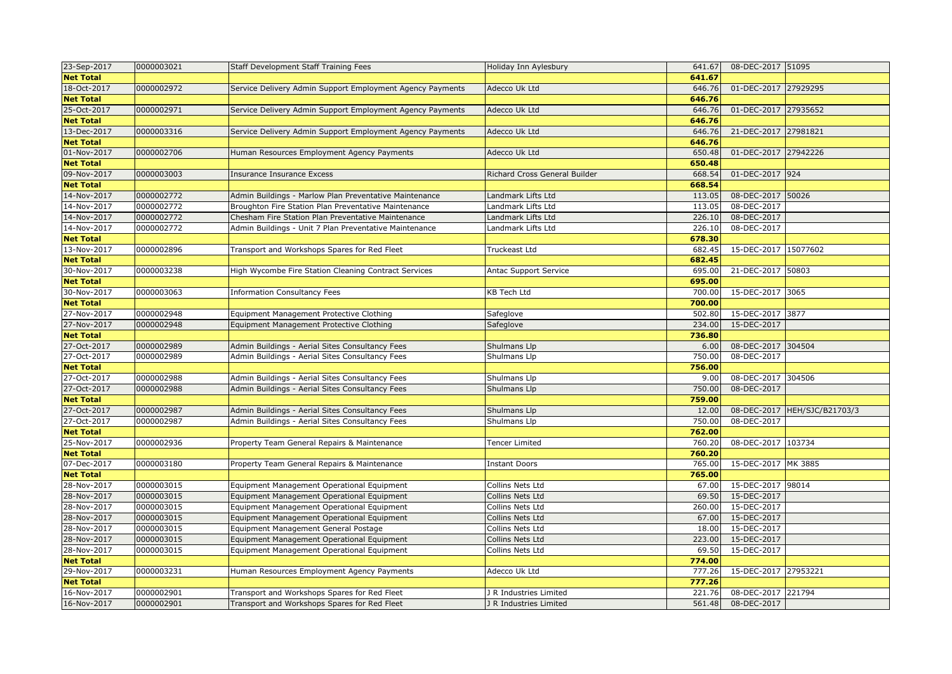| 23-Sep-2017      | 0000003021 | Staff Development Staff Training Fees                     | Holiday Inn Aylesbury         | 641.67 | 08-DEC-2017 51095    |                              |
|------------------|------------|-----------------------------------------------------------|-------------------------------|--------|----------------------|------------------------------|
| <b>Net Total</b> |            |                                                           |                               | 641.67 |                      |                              |
| 18-Oct-2017      | 0000002972 | Service Delivery Admin Support Employment Agency Payments | Adecco Uk Ltd                 | 646.76 | 01-DEC-2017 27929295 |                              |
| <b>Net Total</b> |            |                                                           |                               | 646.76 |                      |                              |
| 25-Oct-2017      | 0000002971 | Service Delivery Admin Support Employment Agency Payments | Adecco Uk Ltd                 | 646.76 | 01-DEC-2017          | 27935652                     |
| <b>Net Total</b> |            |                                                           |                               | 646.76 |                      |                              |
| 13-Dec-2017      | 0000003316 | Service Delivery Admin Support Employment Agency Payments | Adecco Uk Ltd                 | 646.76 | 21-DEC-2017 27981821 |                              |
| <b>Net Total</b> |            |                                                           |                               | 646.76 |                      |                              |
| 01-Nov-2017      | 0000002706 | Human Resources Employment Agency Payments                | Adecco Uk Ltd                 | 650.48 | 01-DEC-2017          | 27942226                     |
| <b>Net Total</b> |            |                                                           |                               | 650.48 |                      |                              |
| 09-Nov-2017      | 0000003003 | <b>Insurance Insurance Excess</b>                         | Richard Cross General Builder | 668.54 | 01-DEC-2017 924      |                              |
| <b>Net Total</b> |            |                                                           |                               | 668.54 |                      |                              |
| 14-Nov-2017      | 0000002772 | Admin Buildings - Marlow Plan Preventative Maintenance    | Landmark Lifts Ltd            | 113.05 | 08-DEC-2017 50026    |                              |
| 14-Nov-2017      | 0000002772 | Broughton Fire Station Plan Preventative Maintenance      | Landmark Lifts Ltd            | 113.05 | 08-DEC-2017          |                              |
| 14-Nov-2017      | 0000002772 | Chesham Fire Station Plan Preventative Maintenance        | Landmark Lifts Ltd            | 226.10 | 08-DEC-2017          |                              |
| 14-Nov-2017      | 0000002772 | Admin Buildings - Unit 7 Plan Preventative Maintenance    | Landmark Lifts Ltd            | 226.10 | 08-DEC-2017          |                              |
| <b>Net Total</b> |            |                                                           |                               | 678.30 |                      |                              |
| 13-Nov-2017      | 0000002896 | Transport and Workshops Spares for Red Fleet              | Truckeast Ltd                 | 682.45 | 15-DEC-2017 15077602 |                              |
| <b>Net Total</b> |            |                                                           |                               | 682.45 |                      |                              |
| 30-Nov-2017      | 0000003238 | High Wycombe Fire Station Cleaning Contract Services      | Antac Support Service         | 695.00 | 21-DEC-2017 50803    |                              |
| <b>Net Total</b> |            |                                                           |                               | 695.00 |                      |                              |
| 30-Nov-2017      | 0000003063 | <b>Information Consultancy Fees</b>                       | <b>KB Tech Ltd</b>            | 700.00 | 15-DEC-2017 3065     |                              |
| <b>Net Total</b> |            |                                                           |                               | 700.00 |                      |                              |
| 27-Nov-2017      | 0000002948 | Equipment Management Protective Clothing                  | Safeglove                     | 502.80 | 15-DEC-2017 3877     |                              |
| 27-Nov-2017      | 0000002948 | Equipment Management Protective Clothing                  | Safeglove                     | 234.00 | 15-DEC-2017          |                              |
| <b>Net Total</b> |            |                                                           |                               | 736.80 |                      |                              |
| 27-Oct-2017      | 0000002989 | Admin Buildings - Aerial Sites Consultancy Fees           | Shulmans Llp                  | 6.00   | 08-DEC-2017 304504   |                              |
| 27-Oct-2017      | 0000002989 | Admin Buildings - Aerial Sites Consultancy Fees           | Shulmans Llp                  | 750.00 | 08-DEC-2017          |                              |
| <b>Net Total</b> |            |                                                           |                               | 756.00 |                      |                              |
| 27-Oct-2017      | 0000002988 | Admin Buildings - Aerial Sites Consultancy Fees           | Shulmans Llp                  | 9.00   | 08-DEC-2017 304506   |                              |
| 27-Oct-2017      | 0000002988 | Admin Buildings - Aerial Sites Consultancy Fees           | Shulmans Llp                  | 750.00 | 08-DEC-2017          |                              |
| <b>Net Total</b> |            |                                                           |                               | 759.00 |                      |                              |
| 27-Oct-2017      | 0000002987 | Admin Buildings - Aerial Sites Consultancy Fees           | Shulmans Llp                  | 12.00  |                      | 08-DEC-2017 HEH/SJC/B21703/3 |
| 27-Oct-2017      | 0000002987 | Admin Buildings - Aerial Sites Consultancy Fees           | Shulmans Llp                  | 750.00 | 08-DEC-2017          |                              |
| <b>Net Total</b> |            |                                                           |                               | 762.00 |                      |                              |
| 25-Nov-2017      | 0000002936 | Property Team General Repairs & Maintenance               | <b>Tencer Limited</b>         | 760.20 | 08-DEC-2017 103734   |                              |
| <b>Net Total</b> |            |                                                           |                               | 760.20 |                      |                              |
| 07-Dec-2017      | 0000003180 | Property Team General Repairs & Maintenance               | <b>Instant Doors</b>          | 765.00 | 15-DEC-2017 MK 3885  |                              |
| <b>Net Total</b> |            |                                                           |                               | 765.00 |                      |                              |
| 28-Nov-2017      | 0000003015 | Equipment Management Operational Equipment                | Collins Nets Ltd              | 67.00  | 15-DEC-2017 98014    |                              |
| 28-Nov-2017      | 0000003015 | Equipment Management Operational Equipment                | Collins Nets Ltd              | 69.50  | 15-DEC-2017          |                              |
| 28-Nov-2017      | 0000003015 | Equipment Management Operational Equipment                | Collins Nets Ltd              | 260.00 | 15-DEC-2017          |                              |
| 28-Nov-2017      | 0000003015 | Equipment Management Operational Equipment                | Collins Nets Ltd              | 67.00  | 15-DEC-2017          |                              |
| 28-Nov-2017      | 0000003015 | Equipment Management General Postage                      | Collins Nets Ltd              | 18.00  | 15-DEC-2017          |                              |
| 28-Nov-2017      | 0000003015 | Equipment Management Operational Equipment                | Collins Nets Ltd              | 223.00 | 15-DEC-2017          |                              |
| 28-Nov-2017      | 0000003015 | Equipment Management Operational Equipment                | Collins Nets Ltd              | 69.50  | 15-DEC-2017          |                              |
| <b>Net Total</b> |            |                                                           |                               | 774.00 |                      |                              |
| 29-Nov-2017      | 0000003231 | Human Resources Employment Agency Payments                | Adecco Uk Ltd                 | 777.26 | 15-DEC-2017 27953221 |                              |
| <b>Net Total</b> |            |                                                           |                               | 777.26 |                      |                              |
| 16-Nov-2017      | 0000002901 | Transport and Workshops Spares for Red Fleet              | J R Industries Limited        | 221.76 | 08-DEC-2017 221794   |                              |
| 16-Nov-2017      | 0000002901 | Transport and Workshops Spares for Red Fleet              | J R Industries Limited        | 561.48 | 08-DEC-2017          |                              |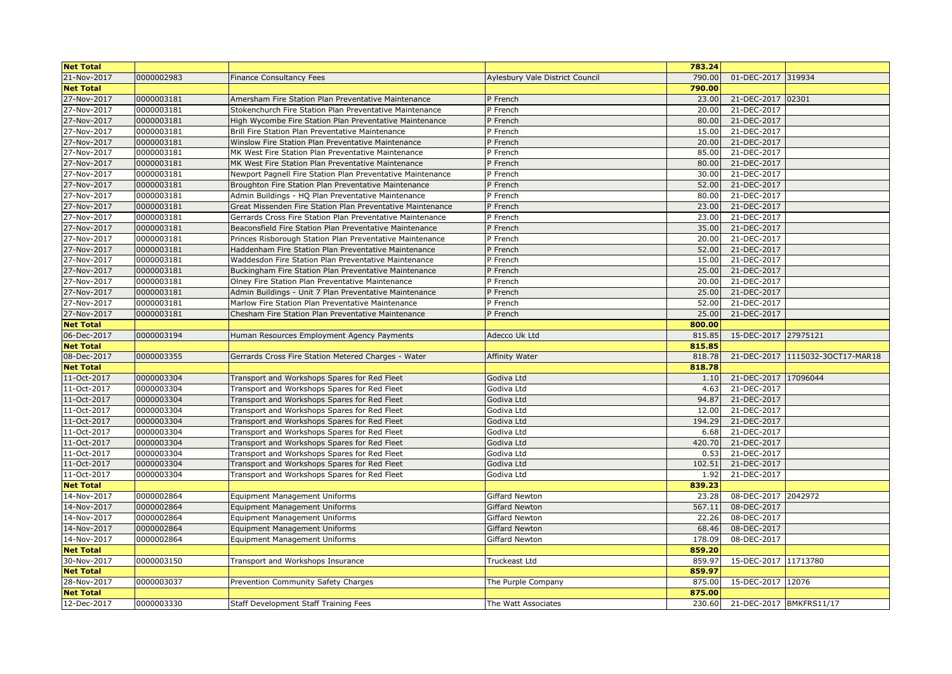| <b>Net Total</b> |            |                                                            |                                        | 783.24 |                                |                                  |
|------------------|------------|------------------------------------------------------------|----------------------------------------|--------|--------------------------------|----------------------------------|
| 21-Nov-2017      | 0000002983 | <b>Finance Consultancy Fees</b>                            | <b>Aylesbury Vale District Council</b> | 790.00 | 01-DEC-2017 319934             |                                  |
| <b>Net Total</b> |            |                                                            |                                        | 790.00 |                                |                                  |
| 27-Nov-2017      | 0000003181 | Amersham Fire Station Plan Preventative Maintenance        | P French                               | 23.00  | 21-DEC-2017 02301              |                                  |
| 27-Nov-2017      | 0000003181 | Stokenchurch Fire Station Plan Preventative Maintenance    | P French                               | 20.00  | 21-DEC-2017                    |                                  |
| 27-Nov-2017      | 0000003181 | High Wycombe Fire Station Plan Preventative Maintenance    | P French                               | 80.00  | 21-DEC-2017                    |                                  |
| 27-Nov-2017      | 0000003181 | Brill Fire Station Plan Preventative Maintenance           | P French                               | 15.00  | 21-DEC-2017                    |                                  |
| 27-Nov-2017      | 0000003181 | Winslow Fire Station Plan Preventative Maintenance         | P French                               | 20.00  | 21-DEC-2017                    |                                  |
| 27-Nov-2017      | 0000003181 | MK West Fire Station Plan Preventative Maintenance         | P French                               | 85.00  | 21-DEC-2017                    |                                  |
| 27-Nov-2017      | 0000003181 | MK West Fire Station Plan Preventative Maintenance         | P French                               | 80.00  | 21-DEC-2017                    |                                  |
| 27-Nov-2017      | 0000003181 | Newport Pagnell Fire Station Plan Preventative Maintenance | P French                               | 30.00  | 21-DEC-2017                    |                                  |
| 27-Nov-2017      | 0000003181 | Broughton Fire Station Plan Preventative Maintenance       | P French                               | 52.00  | 21-DEC-2017                    |                                  |
| 27-Nov-2017      | 0000003181 | Admin Buildings - HQ Plan Preventative Maintenance         | P French                               | 80.00  | 21-DEC-2017                    |                                  |
| 27-Nov-2017      | 0000003181 | Great Missenden Fire Station Plan Preventative Maintenance | P French                               | 23.00  | 21-DEC-2017                    |                                  |
| 27-Nov-2017      | 0000003181 | Gerrards Cross Fire Station Plan Preventative Maintenance  | P French                               | 23.00  | 21-DEC-2017                    |                                  |
| 27-Nov-2017      | 0000003181 | Beaconsfield Fire Station Plan Preventative Maintenance    | P French                               | 35.00  | 21-DEC-2017                    |                                  |
| 27-Nov-2017      | 0000003181 | Princes Risborough Station Plan Preventative Maintenance   | P French                               | 20.00  | 21-DEC-2017                    |                                  |
| 27-Nov-2017      | 0000003181 | Haddenham Fire Station Plan Preventative Maintenance       | P French                               | 52.00  | 21-DEC-2017                    |                                  |
| 27-Nov-2017      | 0000003181 | Waddesdon Fire Station Plan Preventative Maintenance       | P French                               | 15.00  | 21-DEC-2017                    |                                  |
| 27-Nov-2017      | 0000003181 | Buckingham Fire Station Plan Preventative Maintenance      | P French                               | 25.00  | 21-DEC-2017                    |                                  |
| 27-Nov-2017      | 0000003181 | Olney Fire Station Plan Preventative Maintenance           | P French                               | 20.00  | 21-DEC-2017                    |                                  |
| 27-Nov-2017      | 0000003181 | Admin Buildings - Unit 7 Plan Preventative Maintenance     | P French                               | 25.00  | 21-DEC-2017                    |                                  |
| 27-Nov-2017      | 0000003181 | Marlow Fire Station Plan Preventative Maintenance          | P French                               | 52.00  | 21-DEC-2017                    |                                  |
| 27-Nov-2017      | 0000003181 | Chesham Fire Station Plan Preventative Maintenance         | P French                               | 25.00  | 21-DEC-2017                    |                                  |
| <b>Net Total</b> |            |                                                            |                                        | 800.00 |                                |                                  |
| 06-Dec-2017      | 0000003194 | Human Resources Employment Agency Payments                 | Adecco Uk Ltd                          | 815.85 | 15-DEC-2017 27975121           |                                  |
| <b>Net Total</b> |            |                                                            |                                        | 815.85 |                                |                                  |
| 08-Dec-2017      | 0000003355 | Gerrards Cross Fire Station Metered Charges - Water        | Affinity Water                         | 818.78 |                                | 21-DEC-2017 1115032-30CT17-MAR18 |
| <b>Net Total</b> |            |                                                            |                                        | 818.78 |                                |                                  |
| 11-Oct-2017      | 0000003304 | Transport and Workshops Spares for Red Fleet               | Godiva Ltd                             | 1.10   | 21-DEC-2017 17096044           |                                  |
| 11-Oct-2017      | 0000003304 | Transport and Workshops Spares for Red Fleet               | Godiva Ltd                             | 4.63   | 21-DEC-2017                    |                                  |
| 11-Oct-2017      | 0000003304 | Transport and Workshops Spares for Red Fleet               | Godiva Ltd                             | 94.87  | 21-DEC-2017                    |                                  |
| 11-Oct-2017      | 0000003304 | Transport and Workshops Spares for Red Fleet               | Godiva Ltd                             | 12.00  | 21-DEC-2017                    |                                  |
| 11-Oct-2017      | 0000003304 | Transport and Workshops Spares for Red Fleet               | Godiva Ltd                             | 194.29 | 21-DEC-2017                    |                                  |
| 11-Oct-2017      | 0000003304 | Transport and Workshops Spares for Red Fleet               | Godiva Ltd                             | 6.68   | 21-DEC-2017                    |                                  |
| 11-Oct-2017      | 0000003304 | Transport and Workshops Spares for Red Fleet               | Godiva Ltd                             | 420.70 | 21-DEC-2017                    |                                  |
| 11-Oct-2017      | 0000003304 | Transport and Workshops Spares for Red Fleet               | Godiva Ltd                             | 0.53   | 21-DEC-2017                    |                                  |
| 11-Oct-2017      | 0000003304 | Transport and Workshops Spares for Red Fleet               | Godiva Ltd                             | 102.51 | 21-DEC-2017                    |                                  |
| 11-Oct-2017      | 0000003304 | Transport and Workshops Spares for Red Fleet               | Godiva Ltd                             | 1.92   | 21-DEC-2017                    |                                  |
| <b>Net Total</b> |            |                                                            |                                        | 839.23 |                                |                                  |
| 14-Nov-2017      | 0000002864 | Equipment Management Uniforms                              | <b>Giffard Newton</b>                  | 23.28  | 08-DEC-2017 2042972            |                                  |
| 14-Nov-2017      | 0000002864 | <b>Equipment Management Uniforms</b>                       | <b>Giffard Newton</b>                  | 567.11 | 08-DEC-2017                    |                                  |
| 14-Nov-2017      | 0000002864 | <b>Equipment Management Uniforms</b>                       | Giffard Newton                         | 22.26  | 08-DEC-2017                    |                                  |
| 14-Nov-2017      | 0000002864 | <b>Equipment Management Uniforms</b>                       | Giffard Newton                         | 68.46  | 08-DEC-2017                    |                                  |
| 14-Nov-2017      | 0000002864 | <b>Equipment Management Uniforms</b>                       | Giffard Newton                         | 178.09 | 08-DEC-2017                    |                                  |
| <b>Net Total</b> |            |                                                            |                                        | 859.20 |                                |                                  |
| 30-Nov-2017      | 0000003150 | Transport and Workshops Insurance                          | Truckeast Ltd                          | 859.97 | 15-DEC-2017 11713780           |                                  |
| <b>Net Total</b> |            |                                                            |                                        | 859.97 |                                |                                  |
| 28-Nov-2017      | 0000003037 | Prevention Community Safety Charges                        | The Purple Company                     | 875.00 | 15-DEC-2017 12076              |                                  |
| <b>Net Total</b> |            |                                                            |                                        | 875.00 |                                |                                  |
| 12-Dec-2017      | 0000003330 | Staff Development Staff Training Fees                      | The Watt Associates                    |        | 230.60 21-DEC-2017 BMKFRS11/17 |                                  |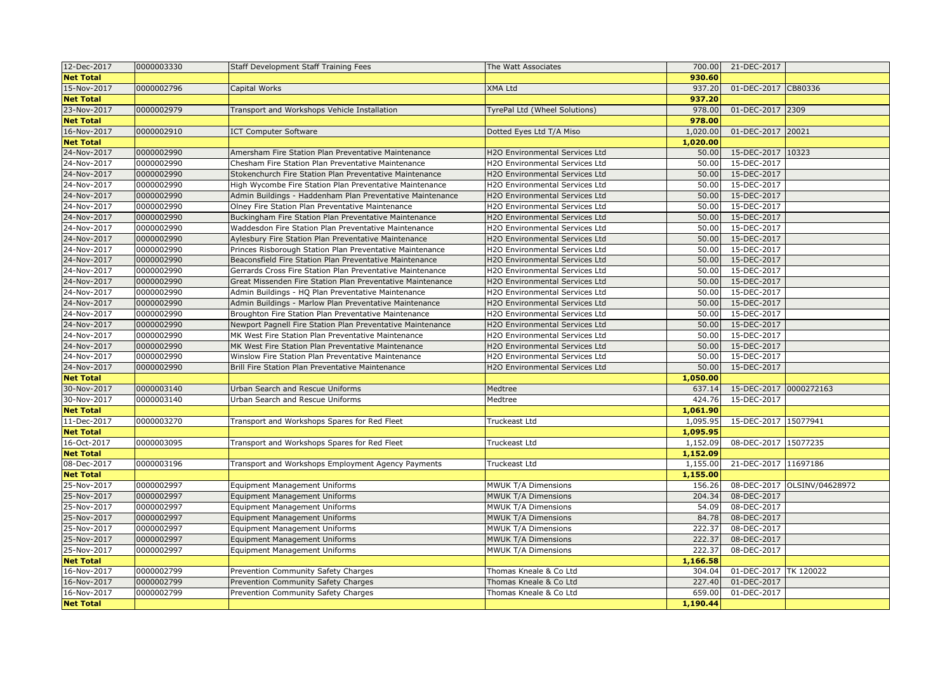| 12-Dec-2017      | 0000003330 | Staff Development Staff Training Fees                      | The Watt Associates                   | 700.00   | 21-DEC-2017           |                             |
|------------------|------------|------------------------------------------------------------|---------------------------------------|----------|-----------------------|-----------------------------|
| <b>Net Total</b> |            |                                                            |                                       | 930.60   |                       |                             |
| 15-Nov-2017      | 0000002796 | Capital Works                                              | <b>XMA Ltd</b>                        | 937.20   | 01-DEC-2017           | CB80336                     |
| <b>Net Total</b> |            |                                                            |                                       | 937.20   |                       |                             |
| 23-Nov-2017      | 0000002979 | Transport and Workshops Vehicle Installation               | TyrePal Ltd (Wheel Solutions)         | 978.00   | 01-DEC-2017           | 2309                        |
| <b>Net Total</b> |            |                                                            |                                       | 978.00   |                       |                             |
| 16-Nov-2017      | 0000002910 | <b>ICT Computer Software</b>                               | Dotted Eyes Ltd T/A Miso              | 1,020.00 | 01-DEC-2017           | 20021                       |
| <b>Net Total</b> |            |                                                            |                                       | 1,020.00 |                       |                             |
| 24-Nov-2017      | 0000002990 | Amersham Fire Station Plan Preventative Maintenance        | H2O Environmental Services Ltd        | 50.00    | 15-DEC-2017           | 10323                       |
| 24-Nov-2017      | 0000002990 | Chesham Fire Station Plan Preventative Maintenance         | H2O Environmental Services Ltd        | 50.00    | 15-DEC-2017           |                             |
| 24-Nov-2017      | 0000002990 | Stokenchurch Fire Station Plan Preventative Maintenance    | H2O Environmental Services Ltd        | 50.00    | 15-DEC-2017           |                             |
| 24-Nov-2017      | 0000002990 | High Wycombe Fire Station Plan Preventative Maintenance    | H2O Environmental Services Ltd        | 50.00    | 15-DEC-2017           |                             |
| 24-Nov-2017      | 0000002990 | Admin Buildings - Haddenham Plan Preventative Maintenance  | H2O Environmental Services Ltd        | 50.00    | 15-DEC-2017           |                             |
| 24-Nov-2017      | 0000002990 | Olney Fire Station Plan Preventative Maintenance           | H2O Environmental Services Ltd        | 50.00    | 15-DEC-2017           |                             |
| 24-Nov-2017      | 0000002990 | Buckingham Fire Station Plan Preventative Maintenance      | H2O Environmental Services Ltd        | 50.00    | 15-DEC-2017           |                             |
| 24-Nov-2017      | 0000002990 | Waddesdon Fire Station Plan Preventative Maintenance       | H2O Environmental Services Ltd        | 50.00    | 15-DEC-2017           |                             |
| 24-Nov-2017      | 0000002990 | Aylesbury Fire Station Plan Preventative Maintenance       | H2O Environmental Services Ltd        | 50.00    | 15-DEC-2017           |                             |
| 24-Nov-2017      | 0000002990 | Princes Risborough Station Plan Preventative Maintenance   | H2O Environmental Services Ltd        | 50.00    | 15-DEC-2017           |                             |
| 24-Nov-2017      | 0000002990 | Beaconsfield Fire Station Plan Preventative Maintenance    | H2O Environmental Services Ltd        | 50.00    | 15-DEC-2017           |                             |
| 24-Nov-2017      | 0000002990 | Gerrards Cross Fire Station Plan Preventative Maintenance  | H2O Environmental Services Ltd        | 50.00    | 15-DEC-2017           |                             |
| 24-Nov-2017      | 0000002990 | Great Missenden Fire Station Plan Preventative Maintenance | H2O Environmental Services Ltd        | 50.00    | 15-DEC-2017           |                             |
| 24-Nov-2017      | 0000002990 | Admin Buildings - HQ Plan Preventative Maintenance         | H2O Environmental Services Ltd        | 50.00    | 15-DEC-2017           |                             |
| 24-Nov-2017      | 0000002990 | Admin Buildings - Marlow Plan Preventative Maintenance     | H2O Environmental Services Ltd        | 50.00    | 15-DEC-2017           |                             |
| 24-Nov-2017      | 0000002990 | Broughton Fire Station Plan Preventative Maintenance       | H2O Environmental Services Ltd        | 50.00    | 15-DEC-2017           |                             |
| 24-Nov-2017      | 0000002990 | Newport Pagnell Fire Station Plan Preventative Maintenance | H2O Environmental Services Ltd        | 50.00    | 15-DEC-2017           |                             |
| 24-Nov-2017      | 0000002990 | MK West Fire Station Plan Preventative Maintenance         | <b>H2O Environmental Services Ltd</b> | 50.00    | 15-DEC-2017           |                             |
| 24-Nov-2017      | 0000002990 | MK West Fire Station Plan Preventative Maintenance         | H2O Environmental Services Ltd        | 50.00    | 15-DEC-2017           |                             |
| 24-Nov-2017      | 0000002990 | Winslow Fire Station Plan Preventative Maintenance         | H2O Environmental Services Ltd        | 50.00    | 15-DEC-2017           |                             |
| 24-Nov-2017      | 0000002990 | Brill Fire Station Plan Preventative Maintenance           | H2O Environmental Services Ltd        | 50.00    | 15-DEC-2017           |                             |
| <b>Net Total</b> |            |                                                            |                                       | 1,050.00 |                       |                             |
| 30-Nov-2017      | 0000003140 | Urban Search and Rescue Uniforms                           | Medtree                               | 637.14   | 15-DEC-2017           | 0000272163                  |
| 30-Nov-2017      | 0000003140 | Urban Search and Rescue Uniforms                           | Medtree                               | 424.76   | 15-DEC-2017           |                             |
| <b>Net Total</b> |            |                                                            |                                       | 1.061.90 |                       |                             |
| 11-Dec-2017      | 0000003270 | Transport and Workshops Spares for Red Fleet               | Truckeast Ltd                         | 1,095.95 | 15-DEC-2017 15077941  |                             |
| <b>Net Total</b> |            |                                                            |                                       | 1,095.95 |                       |                             |
| 16-Oct-2017      | 0000003095 | Transport and Workshops Spares for Red Fleet               | Truckeast Ltd                         | 1,152.09 | 08-DEC-2017 15077235  |                             |
| <b>Net Total</b> |            |                                                            |                                       | 1,152.09 |                       |                             |
| 08-Dec-2017      | 0000003196 | Transport and Workshops Employment Agency Payments         | Truckeast Ltd                         | 1,155.00 | 21-DEC-2017 11697186  |                             |
| <b>Net Total</b> |            |                                                            |                                       | 1,155.00 |                       |                             |
| 25-Nov-2017      | 0000002997 | <b>Equipment Management Uniforms</b>                       | MWUK T/A Dimensions                   | 156.26   |                       | 08-DEC-2017 OLSINV/04628972 |
| 25-Nov-2017      | 0000002997 | <b>Equipment Management Uniforms</b>                       | <b>MWUK T/A Dimensions</b>            | 204.34   | 08-DEC-2017           |                             |
| 25-Nov-2017      | 0000002997 | <b>Equipment Management Uniforms</b>                       | <b>MWUK T/A Dimensions</b>            | 54.09    | 08-DEC-2017           |                             |
| 25-Nov-2017      | 0000002997 | <b>Equipment Management Uniforms</b>                       | <b>MWUK T/A Dimensions</b>            | 84.78    | 08-DEC-2017           |                             |
| 25-Nov-2017      | 0000002997 | <b>Equipment Management Uniforms</b>                       | <b>MWUK T/A Dimensions</b>            | 222.37   | 08-DEC-2017           |                             |
| 25-Nov-2017      | 0000002997 | <b>Equipment Management Uniforms</b>                       | <b>MWUK T/A Dimensions</b>            | 222.37   | 08-DEC-2017           |                             |
| 25-Nov-2017      | 0000002997 | Equipment Management Uniforms                              | MWUK T/A Dimensions                   | 222.37   | 08-DEC-2017           |                             |
| <b>Net Total</b> |            |                                                            |                                       | 1,166.58 |                       |                             |
| 16-Nov-2017      | 0000002799 | Prevention Community Safety Charges                        | Thomas Kneale & Co Ltd                | 304.04   | 01-DEC-2017 TK 120022 |                             |
| 16-Nov-2017      | 0000002799 | Prevention Community Safety Charges                        | Thomas Kneale & Co Ltd                | 227.40   | 01-DEC-2017           |                             |
| 16-Nov-2017      | 0000002799 | Prevention Community Safety Charges                        | Thomas Kneale & Co Ltd                | 659.00   | 01-DEC-2017           |                             |
| <b>Net Total</b> |            |                                                            |                                       | 1,190.44 |                       |                             |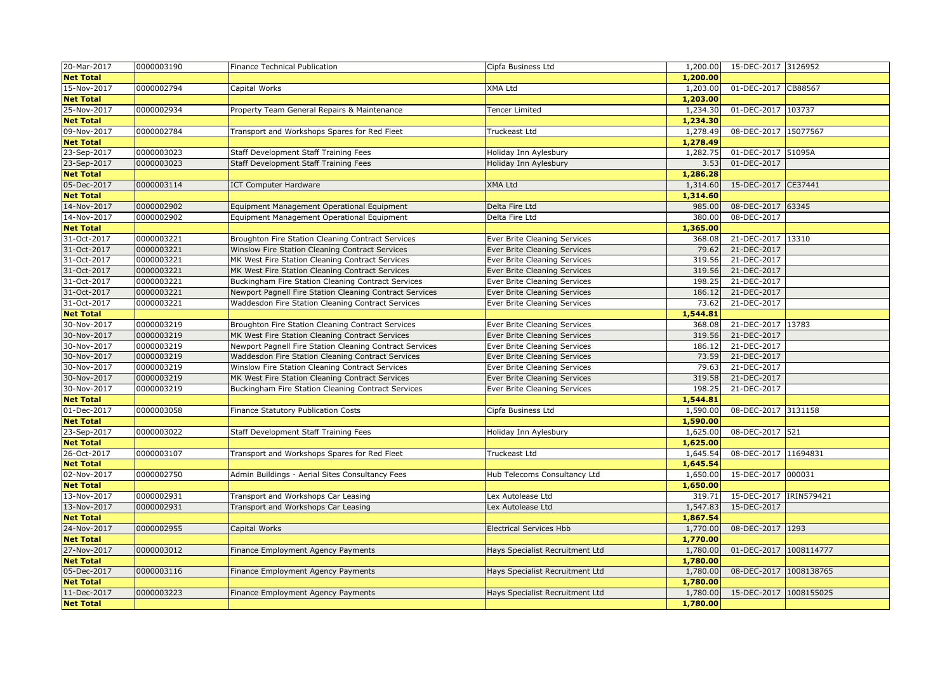| 20-Mar-2017      | 0000003190 | Finance Technical Publication                           | Cipfa Business Ltd              | 1,200.00 | 15-DEC-2017 3126952     |  |
|------------------|------------|---------------------------------------------------------|---------------------------------|----------|-------------------------|--|
| <b>Net Total</b> |            |                                                         |                                 | 1,200.00 |                         |  |
| 15-Nov-2017      | 0000002794 | Capital Works                                           | XMA Ltd                         | 1,203.00 | 01-DEC-2017 CB88567     |  |
| <b>Net Total</b> |            |                                                         |                                 | 1,203.00 |                         |  |
| 25-Nov-2017      | 0000002934 | Property Team General Repairs & Maintenance             | <b>Tencer Limited</b>           | 1,234.30 | 01-DEC-2017 103737      |  |
| <b>Net Total</b> |            |                                                         |                                 | 1,234.30 |                         |  |
| 09-Nov-2017      | 0000002784 | Transport and Workshops Spares for Red Fleet            | Truckeast Ltd                   | 1,278.49 | 08-DEC-2017 15077567    |  |
| <b>Net Total</b> |            |                                                         |                                 | 1,278.49 |                         |  |
| 23-Sep-2017      | 0000003023 | Staff Development Staff Training Fees                   | Holiday Inn Aylesbury           | 1,282.75 | 01-DEC-2017 51095A      |  |
| 23-Sep-2017      | 0000003023 | Staff Development Staff Training Fees                   | Holiday Inn Aylesbury           | 3.53     | 01-DEC-2017             |  |
| <b>Net Total</b> |            |                                                         |                                 | 1,286.28 |                         |  |
| 05-Dec-2017      | 0000003114 | <b>ICT Computer Hardware</b>                            | <b>XMA Ltd</b>                  | 1,314.60 | 15-DEC-2017 CE37441     |  |
| <b>Net Total</b> |            |                                                         |                                 | 1,314.60 |                         |  |
| 14-Nov-2017      | 0000002902 | Equipment Management Operational Equipment              | Delta Fire Ltd                  | 985.00   | 08-DEC-2017 63345       |  |
| 14-Nov-2017      | 0000002902 | Equipment Management Operational Equipment              | Delta Fire Ltd                  | 380.00   | 08-DEC-2017             |  |
| <b>Net Total</b> |            |                                                         |                                 | 1,365.00 |                         |  |
| 31-Oct-2017      | 0000003221 | Broughton Fire Station Cleaning Contract Services       | Ever Brite Cleaning Services    | 368.08   | 21-DEC-2017 13310       |  |
| 31-Oct-2017      | 0000003221 | Winslow Fire Station Cleaning Contract Services         | Ever Brite Cleaning Services    | 79.62    | 21-DEC-2017             |  |
| 31-Oct-2017      | 0000003221 | MK West Fire Station Cleaning Contract Services         | Ever Brite Cleaning Services    | 319.56   | 21-DEC-2017             |  |
| 31-Oct-2017      | 0000003221 | MK West Fire Station Cleaning Contract Services         | Ever Brite Cleaning Services    | 319.56   | 21-DEC-2017             |  |
| 31-Oct-2017      | 0000003221 | Buckingham Fire Station Cleaning Contract Services      | Ever Brite Cleaning Services    | 198.25   | 21-DEC-2017             |  |
| 31-Oct-2017      | 0000003221 | Newport Pagnell Fire Station Cleaning Contract Services | Ever Brite Cleaning Services    | 186.12   | 21-DEC-2017             |  |
| 31-Oct-2017      | 0000003221 | Waddesdon Fire Station Cleaning Contract Services       | Ever Brite Cleaning Services    | 73.62    | 21-DEC-2017             |  |
| <b>Net Total</b> |            |                                                         |                                 | 1,544.81 |                         |  |
| 30-Nov-2017      | 0000003219 | Broughton Fire Station Cleaning Contract Services       | Ever Brite Cleaning Services    | 368.08   | 21-DEC-2017 13783       |  |
| 30-Nov-2017      | 0000003219 | MK West Fire Station Cleaning Contract Services         | Ever Brite Cleaning Services    | 319.56   | 21-DEC-2017             |  |
| 30-Nov-2017      | 0000003219 | Newport Pagnell Fire Station Cleaning Contract Services | Ever Brite Cleaning Services    | 186.12   | 21-DEC-2017             |  |
| 30-Nov-2017      | 0000003219 | Waddesdon Fire Station Cleaning Contract Services       | Ever Brite Cleaning Services    | 73.59    | 21-DEC-2017             |  |
| 30-Nov-2017      | 0000003219 | Winslow Fire Station Cleaning Contract Services         | Ever Brite Cleaning Services    | 79.63    | 21-DEC-2017             |  |
| 30-Nov-2017      | 0000003219 | MK West Fire Station Cleaning Contract Services         | Ever Brite Cleaning Services    | 319.58   | 21-DEC-2017             |  |
| 30-Nov-2017      | 0000003219 | Buckingham Fire Station Cleaning Contract Services      | Ever Brite Cleaning Services    | 198.25   | 21-DEC-2017             |  |
| <b>Net Total</b> |            |                                                         |                                 | 1,544.81 |                         |  |
| 01-Dec-2017      | 0000003058 | Finance Statutory Publication Costs                     | Cipfa Business Ltd              | 1,590.00 | 08-DEC-2017 3131158     |  |
| <b>Net Total</b> |            |                                                         |                                 | 1,590.00 |                         |  |
| 23-Sep-2017      | 0000003022 | Staff Development Staff Training Fees                   | Holiday Inn Aylesbury           | 1,625.00 | 08-DEC-2017 521         |  |
| <b>Net Total</b> |            |                                                         |                                 | 1,625.00 |                         |  |
| 26-Oct-2017      | 0000003107 | Transport and Workshops Spares for Red Fleet            | Truckeast Ltd                   | 1,645.54 | 08-DEC-2017 11694831    |  |
| <b>Net Total</b> |            |                                                         |                                 | 1,645.54 |                         |  |
| 02-Nov-2017      | 0000002750 | Admin Buildings - Aerial Sites Consultancy Fees         | Hub Telecoms Consultancy Ltd    | 1,650.00 | 15-DEC-2017 000031      |  |
| <b>Net Total</b> |            |                                                         |                                 | 1,650.00 |                         |  |
| 13-Nov-2017      | 0000002931 | Transport and Workshops Car Leasing                     | Lex Autolease Ltd               | 319.71   | 15-DEC-2017  IRIN579421 |  |
| 13-Nov-2017      | 0000002931 | Transport and Workshops Car Leasing                     | Lex Autolease Ltd               | 1,547.83 | 15-DEC-2017             |  |
| <b>Net Total</b> |            |                                                         |                                 | 1,867.54 |                         |  |
| 24-Nov-2017      | 0000002955 | Capital Works                                           | <b>Electrical Services Hbb</b>  | 1,770.00 | 08-DEC-2017 1293        |  |
| <b>Net Total</b> |            |                                                         |                                 | 1,770.00 |                         |  |
| 27-Nov-2017      | 0000003012 | Finance Employment Agency Payments                      | Hays Specialist Recruitment Ltd | 1,780.00 | 01-DEC-2017 1008114777  |  |
| <b>Net Total</b> |            |                                                         |                                 | 1,780.00 |                         |  |
| 05-Dec-2017      | 0000003116 | Finance Employment Agency Payments                      | Hays Specialist Recruitment Ltd | 1,780.00 | 08-DEC-2017 1008138765  |  |
| <b>Net Total</b> |            |                                                         |                                 | 1,780.00 |                         |  |
| 11-Dec-2017      | 0000003223 | Finance Employment Agency Payments                      | Hays Specialist Recruitment Ltd | 1,780.00 | 15-DEC-2017 1008155025  |  |
| <b>Net Total</b> |            |                                                         |                                 | 1,780.00 |                         |  |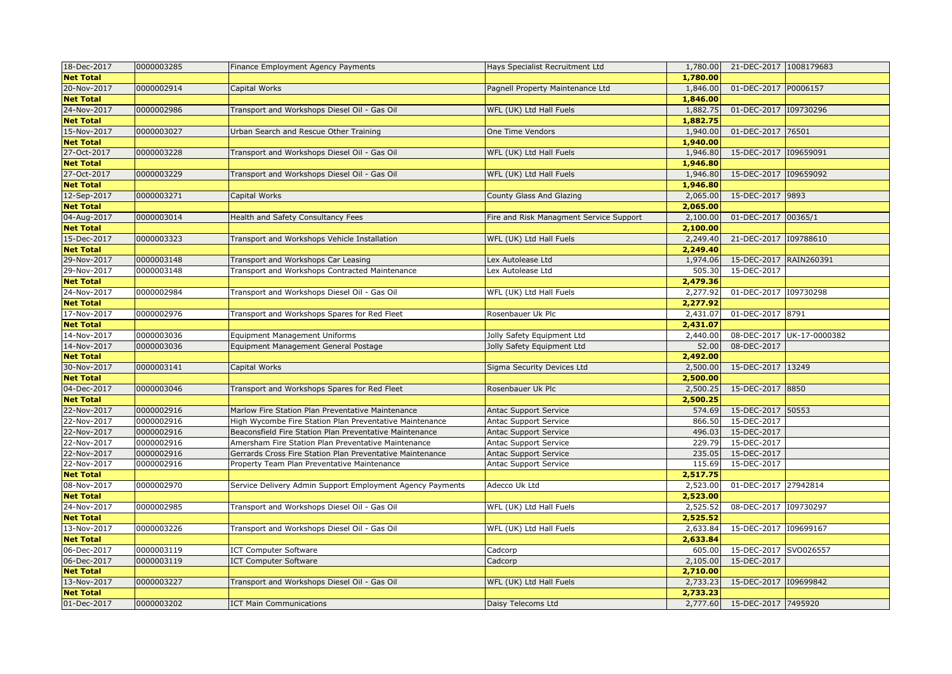|                                                                                                                        |          |                        | 21-DEC-2017 1008179683    |
|------------------------------------------------------------------------------------------------------------------------|----------|------------------------|---------------------------|
| <b>Net Total</b>                                                                                                       | 1,780.00 |                        |                           |
| 20-Nov-2017<br>0000002914<br>Capital Works<br>Pagnell Property Maintenance Ltd                                         | 1,846.00 | 01-DEC-2017 P0006157   |                           |
| <b>Net Total</b>                                                                                                       | 1,846.00 |                        |                           |
| 24-Nov-2017<br>0000002986<br>Transport and Workshops Diesel Oil - Gas Oil<br>WFL (UK) Ltd Hall Fuels                   | 1,882.75 | 01-DEC-2017 109730296  |                           |
| <b>Net Total</b>                                                                                                       | 1,882.75 |                        |                           |
| 15-Nov-2017<br>0000003027<br>Urban Search and Rescue Other Training<br>One Time Vendors                                | 1,940.00 | 01-DEC-2017 76501      |                           |
| <b>Net Total</b>                                                                                                       | 1,940.00 |                        |                           |
| 27-Oct-2017<br>0000003228<br>Transport and Workshops Diesel Oil - Gas Oil<br>WFL (UK) Ltd Hall Fuels                   | 1,946.80 | 15-DEC-2017            | 109659091                 |
| <b>Net Total</b>                                                                                                       | 1,946.80 |                        |                           |
| 27-Oct-2017<br>0000003229<br>WFL (UK) Ltd Hall Fuels<br>Transport and Workshops Diesel Oil - Gas Oil                   | 1,946.80 | 15-DEC-2017 109659092  |                           |
| <b>Net Total</b>                                                                                                       | 1,946.80 |                        |                           |
| 12-Sep-2017<br>0000003271<br>Capital Works<br>County Glass And Glazing                                                 | 2,065.00 | 15-DEC-2017 9893       |                           |
| <b>Net Total</b>                                                                                                       | 2,065.00 |                        |                           |
| 04-Aug-2017<br>0000003014<br>Health and Safety Consultancy Fees<br>Fire and Risk Managment Service Support             | 2,100.00 | 01-DEC-2017 00365/1    |                           |
| <b>Net Total</b>                                                                                                       | 2,100.00 |                        |                           |
| 15-Dec-2017<br>0000003323<br>Transport and Workshops Vehicle Installation<br>WFL (UK) Ltd Hall Fuels                   | 2,249.40 | 21-DEC-2017 109788610  |                           |
| <b>Net Total</b>                                                                                                       | 2,249.40 |                        |                           |
| 0000003148<br>29-Nov-2017<br>Transport and Workshops Car Leasing<br>Lex Autolease Ltd                                  | 1,974.06 | 15-DEC-2017 RAIN260391 |                           |
| 29-Nov-2017<br>0000003148<br>Transport and Workshops Contracted Maintenance<br>Lex Autolease Ltd                       | 505.30   | 15-DEC-2017            |                           |
| <b>Net Total</b>                                                                                                       | 2,479.36 |                        |                           |
| 24-Nov-2017<br>0000002984<br>Transport and Workshops Diesel Oil - Gas Oil<br>WFL (UK) Ltd Hall Fuels                   | 2,277.92 | 01-DEC-2017 109730298  |                           |
| <b>Net Total</b>                                                                                                       | 2,277.92 |                        |                           |
| 17-Nov-2017<br>0000002976<br>Transport and Workshops Spares for Red Fleet<br>Rosenbauer Uk Plc                         | 2,431.07 | 01-DEC-2017 8791       |                           |
| <b>Net Total</b>                                                                                                       | 2,431.07 |                        |                           |
| 14-Nov-2017<br>0000003036<br><b>Equipment Management Uniforms</b><br>Jolly Safety Equipment Ltd                        | 2,440.00 |                        | 08-DEC-2017 UK-17-0000382 |
| 0000003036<br>14-Nov-2017<br>Equipment Management General Postage<br>Jolly Safety Equipment Ltd                        | 52.00    | 08-DEC-2017            |                           |
| <b>Net Total</b>                                                                                                       | 2,492.00 |                        |                           |
| 0000003141<br>30-Nov-2017<br>Capital Works<br>Sigma Security Devices Ltd                                               | 2,500.00 | 15-DEC-2017 13249      |                           |
| <b>Net Total</b>                                                                                                       | 2,500.00 |                        |                           |
| 04-Dec-2017<br>0000003046<br>Rosenbauer Uk Plc<br>Transport and Workshops Spares for Red Fleet                         | 2,500.25 | 15-DEC-2017 8850       |                           |
| <b>Net Total</b>                                                                                                       | 2,500.25 |                        |                           |
| 22-Nov-2017<br>0000002916<br>Marlow Fire Station Plan Preventative Maintenance<br><b>Antac Support Service</b>         | 574.69   | 15-DEC-2017 50553      |                           |
| 0000002916<br>22-Nov-2017<br>High Wycombe Fire Station Plan Preventative Maintenance<br>Antac Support Service          | 866.50   | 15-DEC-2017            |                           |
| 22-Nov-2017<br>0000002916<br>Beaconsfield Fire Station Plan Preventative Maintenance<br>Antac Support Service          | 496.03   | 15-DEC-2017            |                           |
| 22-Nov-2017<br>0000002916<br>Amersham Fire Station Plan Preventative Maintenance<br>Antac Support Service              | 229.79   | 15-DEC-2017            |                           |
| 22-Nov-2017<br>0000002916<br>Gerrards Cross Fire Station Plan Preventative Maintenance<br><b>Antac Support Service</b> | 235.05   | 15-DEC-2017            |                           |
| 22-Nov-2017<br>0000002916<br>Property Team Plan Preventative Maintenance<br><b>Antac Support Service</b>               | 115.69   | 15-DEC-2017            |                           |
| <b>Net Total</b>                                                                                                       | 2,517.75 |                        |                           |
| 08-Nov-2017<br>0000002970<br>Adecco Uk Ltd<br>Service Delivery Admin Support Employment Agency Payments                | 2,523.00 | 01-DEC-2017 27942814   |                           |
| <b>Net Total</b>                                                                                                       | 2,523.00 |                        |                           |
| 24-Nov-2017<br>0000002985<br>Transport and Workshops Diesel Oil - Gas Oil<br>WFL (UK) Ltd Hall Fuels                   | 2,525.52 | 08-DEC-2017 109730297  |                           |
| <b>Net Total</b>                                                                                                       | 2,525.52 |                        |                           |
| 0000003226<br>13-Nov-2017<br>Transport and Workshops Diesel Oil - Gas Oil<br>WFL (UK) Ltd Hall Fuels                   | 2,633.84 | 15-DEC-2017 109699167  |                           |
| <b>Net Total</b>                                                                                                       | 2,633.84 |                        |                           |
| 0000003119<br>06-Dec-2017<br><b>ICT Computer Software</b><br>Cadcorp                                                   | 605.00   | 15-DEC-2017 SVO026557  |                           |
| 06-Dec-2017<br>0000003119<br><b>ICT Computer Software</b><br>Cadcorp                                                   | 2,105.00 | 15-DEC-2017            |                           |
| <b>Net Total</b>                                                                                                       | 2,710.00 |                        |                           |
| 0000003227<br>13-Nov-2017<br>Transport and Workshops Diesel Oil - Gas Oil<br>WFL (UK) Ltd Hall Fuels                   | 2,733.23 | 15-DEC-2017 109699842  |                           |
| <b>Net Total</b>                                                                                                       | 2,733.23 |                        |                           |
| 0000003202<br>01-Dec-2017<br><b>ICT Main Communications</b><br>Daisy Telecoms Ltd                                      | 2,777.60 | 15-DEC-2017 7495920    |                           |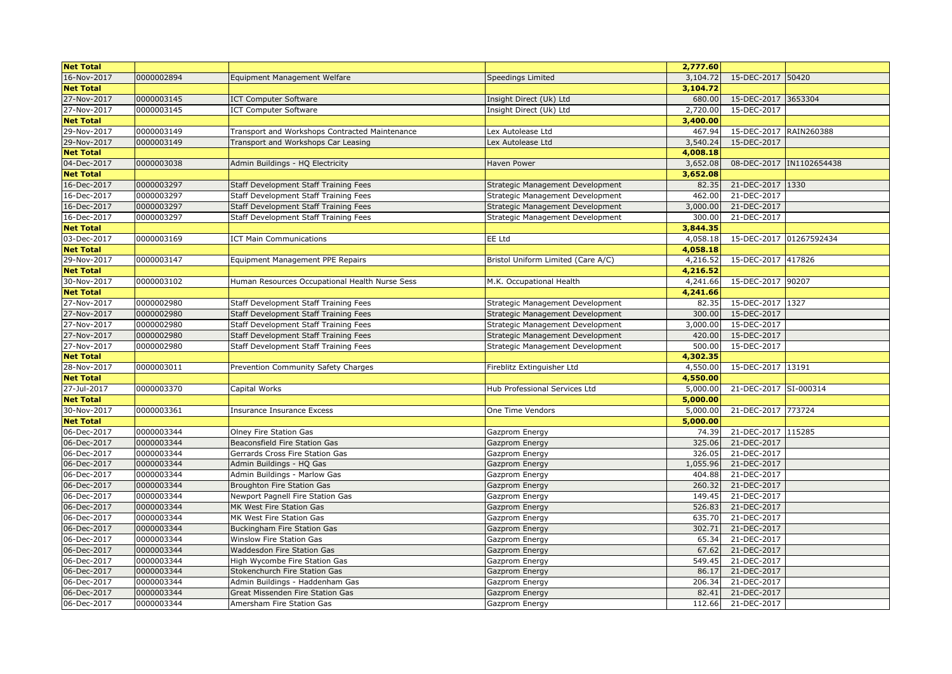| <b>Net Total</b> |            |                                                |                                    | 2,777.60 |                         |                          |
|------------------|------------|------------------------------------------------|------------------------------------|----------|-------------------------|--------------------------|
| 16-Nov-2017      | 0000002894 | Equipment Management Welfare                   | Speedings Limited                  | 3,104.72 | 15-DEC-2017             | 50420                    |
| <b>Net Total</b> |            |                                                |                                    | 3,104.72 |                         |                          |
| 27-Nov-2017      | 0000003145 | <b>ICT Computer Software</b>                   | Insight Direct (Uk) Ltd            | 680.00   | 15-DEC-2017 3653304     |                          |
| 27-Nov-2017      | 0000003145 | <b>ICT Computer Software</b>                   | Insight Direct (Uk) Ltd            | 2,720.00 | 15-DEC-2017             |                          |
| <b>Net Total</b> |            |                                                |                                    | 3,400.00 |                         |                          |
| 29-Nov-2017      | 0000003149 | Transport and Workshops Contracted Maintenance | Lex Autolease Ltd                  | 467.94   | 15-DEC-2017 RAIN260388  |                          |
| 29-Nov-2017      | 0000003149 | Transport and Workshops Car Leasing            | Lex Autolease Ltd                  | 3,540.24 | 15-DEC-2017             |                          |
| <b>Net Total</b> |            |                                                |                                    | 4,008.18 |                         |                          |
| 04-Dec-2017      | 0000003038 | Admin Buildings - HQ Electricity               | <b>Haven Power</b>                 | 3,652.08 |                         | 08-DEC-2017 IN1102654438 |
| <b>Net Total</b> |            |                                                |                                    | 3,652.08 |                         |                          |
| 16-Dec-2017      | 0000003297 | Staff Development Staff Training Fees          | Strategic Management Development   | 82.35    | 21-DEC-2017 1330        |                          |
| 16-Dec-2017      | 0000003297 | Staff Development Staff Training Fees          | Strategic Management Development   | 462.00   | 21-DEC-2017             |                          |
| 16-Dec-2017      | 0000003297 | Staff Development Staff Training Fees          | Strategic Management Development   | 3,000.00 | 21-DEC-2017             |                          |
| 16-Dec-2017      | 0000003297 | Staff Development Staff Training Fees          | Strategic Management Development   | 300.00   | 21-DEC-2017             |                          |
| <b>Net Total</b> |            |                                                |                                    | 3,844.35 |                         |                          |
| 03-Dec-2017      | 0000003169 | <b>ICT Main Communications</b>                 | EE Ltd                             | 4,058.18 | 15-DEC-2017 01267592434 |                          |
| <b>Net Total</b> |            |                                                |                                    | 4,058.18 |                         |                          |
| 29-Nov-2017      | 0000003147 | Equipment Management PPE Repairs               | Bristol Uniform Limited (Care A/C) | 4,216.52 | 15-DEC-2017 417826      |                          |
| <b>Net Total</b> |            |                                                |                                    | 4,216.52 |                         |                          |
| 30-Nov-2017      | 0000003102 | Human Resources Occupational Health Nurse Sess | M.K. Occupational Health           | 4,241.66 | 15-DEC-2017 90207       |                          |
| <b>Net Total</b> |            |                                                |                                    | 4,241.66 |                         |                          |
| 27-Nov-2017      | 0000002980 | Staff Development Staff Training Fees          | Strategic Management Development   | 82.35    | 15-DEC-2017 1327        |                          |
| 27-Nov-2017      | 0000002980 | Staff Development Staff Training Fees          | Strategic Management Development   | 300.00   | 15-DEC-2017             |                          |
| 27-Nov-2017      | 0000002980 | Staff Development Staff Training Fees          | Strategic Management Development   | 3,000.00 | 15-DEC-2017             |                          |
| 27-Nov-2017      | 0000002980 | Staff Development Staff Training Fees          | Strategic Management Development   | 420.00   | 15-DEC-2017             |                          |
| 27-Nov-2017      | 0000002980 | Staff Development Staff Training Fees          | Strategic Management Development   | 500.00   | 15-DEC-2017             |                          |
| <b>Net Total</b> |            |                                                |                                    | 4,302.35 |                         |                          |
| 28-Nov-2017      | 0000003011 | Prevention Community Safety Charges            | Fireblitz Extinguisher Ltd         | 4,550.00 | 15-DEC-2017 13191       |                          |
| <b>Net Total</b> |            |                                                |                                    | 4,550.00 |                         |                          |
| 27-Jul-2017      | 0000003370 | Capital Works                                  | Hub Professional Services Ltd      | 5,000.00 | 21-DEC-2017 SI-000314   |                          |
| <b>Net Total</b> |            |                                                |                                    | 5,000.00 |                         |                          |
| 30-Nov-2017      | 0000003361 | <b>Insurance Insurance Excess</b>              | One Time Vendors                   | 5,000.00 | 21-DEC-2017 773724      |                          |
| <b>Net Total</b> |            |                                                |                                    | 5,000.00 |                         |                          |
| 06-Dec-2017      | 0000003344 | Olney Fire Station Gas                         | Gazprom Energy                     | 74.39    | 21-DEC-2017 115285      |                          |
| 06-Dec-2017      | 0000003344 | Beaconsfield Fire Station Gas                  | Gazprom Energy                     | 325.06   | 21-DEC-2017             |                          |
| 06-Dec-2017      | 0000003344 | Gerrards Cross Fire Station Gas                | Gazprom Energy                     | 326.05   | 21-DEC-2017             |                          |
| 06-Dec-2017      | 0000003344 | Admin Buildings - HQ Gas                       | Gazprom Energy                     | 1,055.96 | 21-DEC-2017             |                          |
| 06-Dec-2017      | 0000003344 | Admin Buildings - Marlow Gas                   | Gazprom Energy                     | 404.88   | 21-DEC-2017             |                          |
| 06-Dec-2017      | 0000003344 | Broughton Fire Station Gas                     | Gazprom Energy                     | 260.32   | 21-DEC-2017             |                          |
| 06-Dec-2017      | 0000003344 | Newport Pagnell Fire Station Gas               | Gazprom Energy                     | 149.45   | 21-DEC-2017             |                          |
| 06-Dec-2017      | 0000003344 | MK West Fire Station Gas                       | Gazprom Energy                     | 526.83   | 21-DEC-2017             |                          |
| 06-Dec-2017      | 0000003344 | MK West Fire Station Gas                       | Gazprom Energy                     | 635.70   | 21-DEC-2017             |                          |
| 06-Dec-2017      | 0000003344 | Buckingham Fire Station Gas                    | Gazprom Energy                     | 302.71   | 21-DEC-2017             |                          |
| 06-Dec-2017      | 0000003344 | Winslow Fire Station Gas                       | Gazprom Energy                     | 65.34    | 21-DEC-2017             |                          |
| 06-Dec-2017      | 0000003344 | Waddesdon Fire Station Gas                     | Gazprom Energy                     | 67.62    | 21-DEC-2017             |                          |
| 06-Dec-2017      | 0000003344 | High Wycombe Fire Station Gas                  | Gazprom Energy                     | 549.45   | 21-DEC-2017             |                          |
| 06-Dec-2017      | 0000003344 | Stokenchurch Fire Station Gas                  | Gazprom Energy                     | 86.17    | 21-DEC-2017             |                          |
| 06-Dec-2017      | 0000003344 | Admin Buildings - Haddenham Gas                | Gazprom Energy                     | 206.34   | 21-DEC-2017             |                          |
| 06-Dec-2017      | 0000003344 | Great Missenden Fire Station Gas               | Gazprom Energy                     | 82.41    | 21-DEC-2017             |                          |
| 06-Dec-2017      | 0000003344 | Amersham Fire Station Gas                      | Gazprom Energy                     | 112.66   | 21-DEC-2017             |                          |
|                  |            |                                                |                                    |          |                         |                          |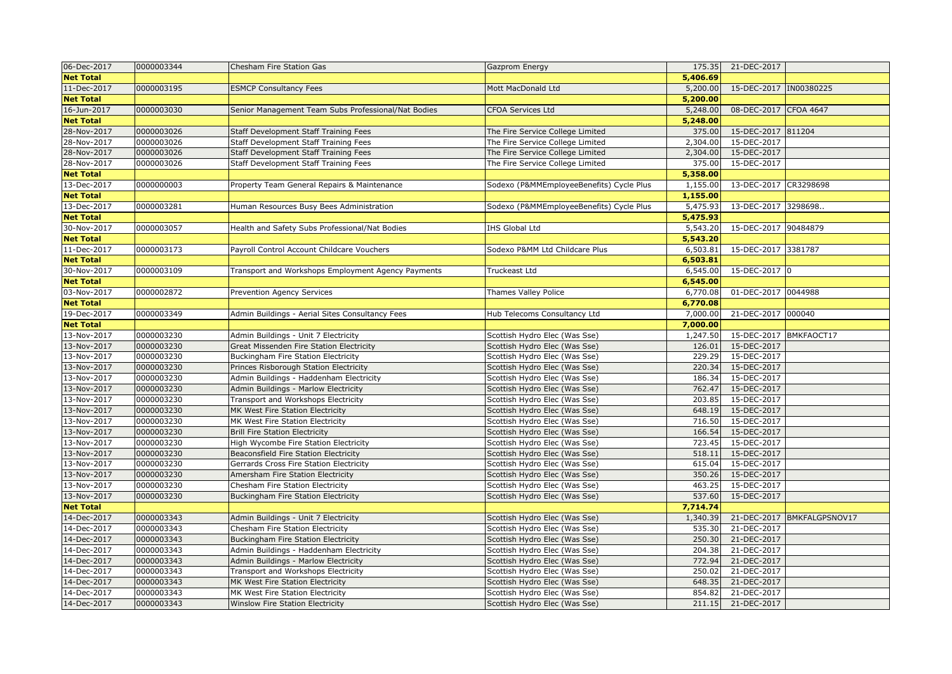| 06-Dec-2017      | 0000003344 | Chesham Fire Station Gas                            | Gazprom Energy                           | 175.35   | 21-DEC-2017             |                |
|------------------|------------|-----------------------------------------------------|------------------------------------------|----------|-------------------------|----------------|
| <b>Net Total</b> |            |                                                     |                                          | 5,406.69 |                         |                |
| 11-Dec-2017      | 0000003195 | <b>ESMCP Consultancy Fees</b>                       | Mott MacDonald Ltd                       | 5,200.00 | 15-DEC-2017  IN00380225 |                |
| <b>Net Total</b> |            |                                                     |                                          | 5,200.00 |                         |                |
| 16-Jun-2017      | 0000003030 | Senior Management Team Subs Professional/Nat Bodies | <b>CFOA Services Ltd</b>                 | 5,248.00 | 08-DEC-2017 CFOA 4647   |                |
| <b>Net Total</b> |            |                                                     |                                          | 5,248.00 |                         |                |
| 28-Nov-2017      | 0000003026 | Staff Development Staff Training Fees               | The Fire Service College Limited         | 375.00   | 15-DEC-2017 811204      |                |
| 28-Nov-2017      | 0000003026 | Staff Development Staff Training Fees               | The Fire Service College Limited         | 2,304.00 | 15-DEC-2017             |                |
| 28-Nov-2017      | 0000003026 | Staff Development Staff Training Fees               | The Fire Service College Limited         | 2,304.00 | 15-DEC-2017             |                |
| 28-Nov-2017      | 0000003026 | Staff Development Staff Training Fees               | The Fire Service College Limited         | 375.00   | 15-DEC-2017             |                |
| <b>Net Total</b> |            |                                                     |                                          | 5,358.00 |                         |                |
| 13-Dec-2017      | 0000000003 | Property Team General Repairs & Maintenance         | Sodexo (P&MMEmployeeBenefits) Cycle Plus | 1,155.00 | 13-DEC-2017 CR3298698   |                |
| <b>Net Total</b> |            |                                                     |                                          | 1,155.00 |                         |                |
| 13-Dec-2017      | 0000003281 | Human Resources Busy Bees Administration            | Sodexo (P&MMEmployeeBenefits) Cycle Plus | 5,475.93 | 13-DEC-2017 3298698     |                |
| <b>Net Total</b> |            |                                                     |                                          | 5,475.93 |                         |                |
| 30-Nov-2017      | 0000003057 | Health and Safety Subs Professional/Nat Bodies      | <b>IHS Global Ltd</b>                    | 5,543.20 | 15-DEC-2017 90484879    |                |
| <b>Net Total</b> |            |                                                     |                                          | 5,543.20 |                         |                |
| 11-Dec-2017      | 0000003173 | Payroll Control Account Childcare Vouchers          | Sodexo P&MM Ltd Childcare Plus           | 6,503.81 | 15-DEC-2017 3381787     |                |
| <b>Net Total</b> |            |                                                     |                                          | 6,503.81 |                         |                |
| 30-Nov-2017      | 0000003109 | Transport and Workshops Employment Agency Payments  | Truckeast Ltd                            | 6,545.00 | 15-DEC-2017 0           |                |
| <b>Net Total</b> |            |                                                     |                                          | 6,545.00 |                         |                |
| 03-Nov-2017      | 0000002872 | Prevention Agency Services                          | Thames Valley Police                     | 6,770.08 | 01-DEC-2017 0044988     |                |
| <b>Net Total</b> |            |                                                     |                                          | 6,770.08 |                         |                |
| 19-Dec-2017      | 0000003349 | Admin Buildings - Aerial Sites Consultancy Fees     | Hub Telecoms Consultancy Ltd             | 7,000.00 | 21-DEC-2017 000040      |                |
| <b>Net Total</b> |            |                                                     |                                          | 7,000.00 |                         |                |
| 13-Nov-2017      | 0000003230 | Admin Buildings - Unit 7 Electricity                | Scottish Hydro Elec (Was Sse)            | 1,247.50 | 15-DEC-2017             | BMKFAOCT17     |
| 13-Nov-2017      | 0000003230 | Great Missenden Fire Station Electricity            | Scottish Hydro Elec (Was Sse)            | 126.01   | 15-DEC-2017             |                |
| 13-Nov-2017      | 0000003230 | <b>Buckingham Fire Station Electricity</b>          | Scottish Hydro Elec (Was Sse)            | 229.29   | 15-DEC-2017             |                |
| 13-Nov-2017      | 0000003230 | Princes Risborough Station Electricity              | Scottish Hydro Elec (Was Sse)            | 220.34   | 15-DEC-2017             |                |
| 13-Nov-2017      | 0000003230 | Admin Buildings - Haddenham Electricity             | Scottish Hydro Elec (Was Sse)            | 186.34   | 15-DEC-2017             |                |
| 13-Nov-2017      | 0000003230 | Admin Buildings - Marlow Electricity                | Scottish Hydro Elec (Was Sse)            | 762.47   | 15-DEC-2017             |                |
| 13-Nov-2017      | 0000003230 | Transport and Workshops Electricity                 | Scottish Hydro Elec (Was Sse)            | 203.85   | 15-DEC-2017             |                |
| 13-Nov-2017      | 0000003230 | MK West Fire Station Electricity                    | Scottish Hydro Elec (Was Sse)            | 648.19   | 15-DEC-2017             |                |
| 13-Nov-2017      | 0000003230 | MK West Fire Station Electricity                    | Scottish Hydro Elec (Was Sse)            | 716.50   | 15-DEC-2017             |                |
| 13-Nov-2017      | 0000003230 | <b>Brill Fire Station Electricity</b>               | Scottish Hydro Elec (Was Sse)            | 166.54   | 15-DEC-2017             |                |
| 13-Nov-2017      | 0000003230 | High Wycombe Fire Station Electricity               | Scottish Hydro Elec (Was Sse)            | 723.45   | 15-DEC-2017             |                |
| 13-Nov-2017      | 0000003230 | Beaconsfield Fire Station Electricity               | Scottish Hydro Elec (Was Sse)            | 518.11   | 15-DEC-2017             |                |
| 13-Nov-2017      | 0000003230 | Gerrards Cross Fire Station Electricity             | Scottish Hydro Elec (Was Sse)            | 615.04   | 15-DEC-2017             |                |
| 13-Nov-2017      | 0000003230 | Amersham Fire Station Electricity                   | Scottish Hydro Elec (Was Sse)            | 350.26   | 15-DEC-2017             |                |
| 13-Nov-2017      | 0000003230 | Chesham Fire Station Electricity                    | Scottish Hydro Elec (Was Sse)            | 463.25   | 15-DEC-2017             |                |
| 13-Nov-2017      | 0000003230 | Buckingham Fire Station Electricity                 | Scottish Hydro Elec (Was Sse)            | 537.60   | 15-DEC-2017             |                |
| <b>Net Total</b> |            |                                                     |                                          | 7,714.74 |                         |                |
| 14-Dec-2017      | 0000003343 | Admin Buildings - Unit 7 Electricity                | Scottish Hydro Elec (Was Sse)            | 1,340.39 | 21-DEC-2017             | BMKFALGPSNOV17 |
| 14-Dec-2017      | 0000003343 | Chesham Fire Station Electricity                    | Scottish Hydro Elec (Was Sse)            | 535.30   | 21-DEC-2017             |                |
| 14-Dec-2017      | 0000003343 | <b>Buckingham Fire Station Electricity</b>          | Scottish Hydro Elec (Was Sse)            | 250.30   | 21-DEC-2017             |                |
| 14-Dec-2017      | 0000003343 | Admin Buildings - Haddenham Electricity             | Scottish Hydro Elec (Was Sse)            | 204.38   | 21-DEC-2017             |                |
| 14-Dec-2017      | 0000003343 | Admin Buildings - Marlow Electricity                | Scottish Hydro Elec (Was Sse)            | 772.94   | 21-DEC-2017             |                |
| 14-Dec-2017      | 0000003343 | Transport and Workshops Electricity                 | Scottish Hydro Elec (Was Sse)            | 250.02   | 21-DEC-2017             |                |
| 14-Dec-2017      | 0000003343 | MK West Fire Station Electricity                    | Scottish Hydro Elec (Was Sse)            | 648.35   | 21-DEC-2017             |                |
| 14-Dec-2017      | 0000003343 | MK West Fire Station Electricity                    | Scottish Hydro Elec (Was Sse)            | 854.82   | 21-DEC-2017             |                |
| 14-Dec-2017      | 0000003343 | <b>Winslow Fire Station Electricity</b>             | Scottish Hydro Elec (Was Sse)            | 211.15   | 21-DEC-2017             |                |